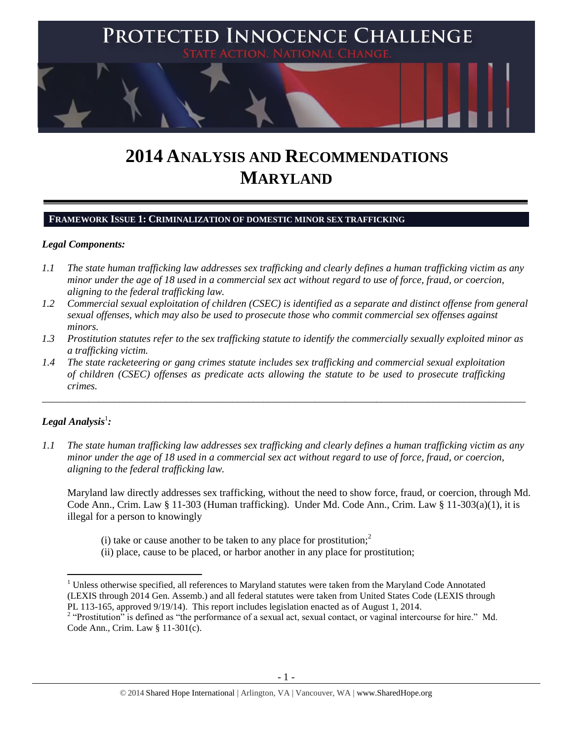

# **2014 ANALYSIS AND RECOMMENDATIONS MARYLAND**

## **FRAMEWORK ISSUE 1: CRIMINALIZATION OF DOMESTIC MINOR SEX TRAFFICKING**

## *Legal Components:*

- *1.1 The state human trafficking law addresses sex trafficking and clearly defines a human trafficking victim as any minor under the age of 18 used in a commercial sex act without regard to use of force, fraud, or coercion, aligning to the federal trafficking law.*
- *1.2 Commercial sexual exploitation of children (CSEC) is identified as a separate and distinct offense from general sexual offenses, which may also be used to prosecute those who commit commercial sex offenses against minors.*
- *1.3 Prostitution statutes refer to the sex trafficking statute to identify the commercially sexually exploited minor as a trafficking victim.*

\_\_\_\_\_\_\_\_\_\_\_\_\_\_\_\_\_\_\_\_\_\_\_\_\_\_\_\_\_\_\_\_\_\_\_\_\_\_\_\_\_\_\_\_\_\_\_\_\_\_\_\_\_\_\_\_\_\_\_\_\_\_\_\_\_\_\_\_\_\_\_\_\_\_\_\_\_\_\_\_\_\_\_\_\_\_\_\_\_\_\_\_\_\_

*1.4 The state racketeering or gang crimes statute includes sex trafficking and commercial sexual exploitation of children (CSEC) offenses as predicate acts allowing the statute to be used to prosecute trafficking crimes.* 

# $\bm{L}$ egal Analysis $^1$ :

 $\overline{\phantom{a}}$ 

*1.1 The state human trafficking law addresses sex trafficking and clearly defines a human trafficking victim as any minor under the age of 18 used in a commercial sex act without regard to use of force, fraud, or coercion, aligning to the federal trafficking law.*

Maryland law directly addresses sex trafficking, without the need to show force, fraud, or coercion, through Md. Code Ann., Crim. Law § 11-303 (Human trafficking). Under Md. Code Ann., Crim. Law § 11-303(a)(1), it is illegal for a person to knowingly

- (i) take or cause another to be taken to any place for prostitution;<sup>2</sup>
- (ii) place, cause to be placed, or harbor another in any place for prostitution;

<sup>&</sup>lt;sup>1</sup> Unless otherwise specified, all references to Maryland statutes were taken from the Maryland Code Annotated (LEXIS through 2014 Gen. Assemb.) and all federal statutes were taken from United States Code (LEXIS through PL 113-165, approved 9/19/14). This report includes legislation enacted as of August 1, 2014.

<sup>&</sup>lt;sup>2</sup> "Prostitution" is defined as "the performance of a sexual act, sexual contact, or vaginal intercourse for hire." Md. Code Ann., Crim. Law § 11-301(c).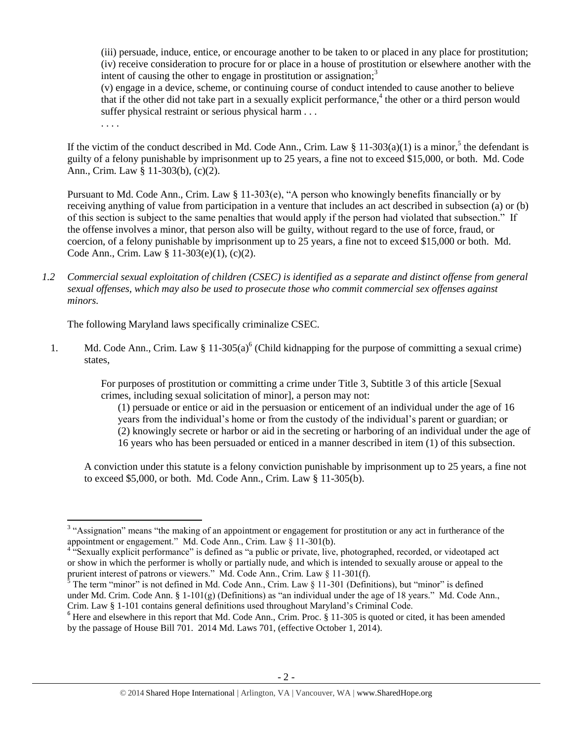(iii) persuade, induce, entice, or encourage another to be taken to or placed in any place for prostitution; (iv) receive consideration to procure for or place in a house of prostitution or elsewhere another with the intent of causing the other to engage in prostitution or assignation; $3$ 

<span id="page-1-0"></span>(v) engage in a device, scheme, or continuing course of conduct intended to cause another to believe that if the other did not take part in a sexually explicit performance,<sup>4</sup> the other or a third person would suffer physical restraint or serious physical harm . . .

<span id="page-1-2"></span>. . . .

If the victim of the conduct described in Md. Code Ann., Crim. Law  $\S 11-303(a)(1)$  is a minor,<sup>5</sup> the defendant is guilty of a felony punishable by imprisonment up to 25 years, a fine not to exceed \$15,000, or both. Md. Code Ann., Crim. Law § 11-303(b), (c)(2).

Pursuant to Md. Code Ann., Crim. Law § 11-303(e), "A person who knowingly benefits financially or by receiving anything of value from participation in a venture that includes an act described in subsection (a) or (b) of this section is subject to the same penalties that would apply if the person had violated that subsection." If the offense involves a minor, that person also will be guilty, without regard to the use of force, fraud, or coercion, of a felony punishable by imprisonment up to 25 years, a fine not to exceed \$15,000 or both. Md. Code Ann., Crim. Law § 11-303(e)(1), (c)(2).

*1.2 Commercial sexual exploitation of children (CSEC) is identified as a separate and distinct offense from general sexual offenses, which may also be used to prosecute those who commit commercial sex offenses against minors.*

The following Maryland laws specifically criminalize CSEC.

1. Md. Code Ann., Crim. Law  $\S 11-305(a)^6$  (Child kidnapping for the purpose of committing a sexual crime) states,

> For purposes of prostitution or committing a crime under Title 3, Subtitle 3 of this article [Sexual crimes, including sexual solicitation of minor], a person may not:

<span id="page-1-1"></span>(1) persuade or entice or aid in the persuasion or enticement of an individual under the age of 16 years from the individual's home or from the custody of the individual's parent or guardian; or (2) knowingly secrete or harbor or aid in the secreting or harboring of an individual under the age of 16 years who has been persuaded or enticed in a manner described in item (1) of this subsection.

A conviction under this statute is a felony conviction punishable by imprisonment up to 25 years, a fine not to exceed \$5,000, or both. Md. Code Ann., Crim. Law § 11-305(b).

<sup>&</sup>lt;sup>3</sup> "Assignation" means "the making of an appointment or engagement for prostitution or any act in furtherance of the appointment or engagement." Md. Code Ann., Crim. Law § 11-301(b).

<sup>&</sup>lt;sup>4 "S</sup>exually explicit performance" is defined as "a public or private, live, photographed, recorded, or videotaped act or show in which the performer is wholly or partially nude, and which is intended to sexually arouse or appeal to the prurient interest of patrons or viewers." Md. Code Ann., Crim. Law § 11-301(f).

The term "minor" is not defined in Md. Code Ann., Crim. Law  $\S$  11-301 (Definitions), but "minor" is defined under Md. Crim. Code Ann. §  $1-101(g)$  (Definitions) as "an individual under the age of 18 years." Md. Code Ann., Crim. Law § 1-101 contains general definitions used throughout Maryland's Criminal Code.

 $6$  Here and elsewhere in this report that Md. Code Ann., Crim. Proc.  $§$  11-305 is quoted or cited, it has been amended by the passage of House Bill 701. 2014 Md. Laws 701, (effective October 1, 2014).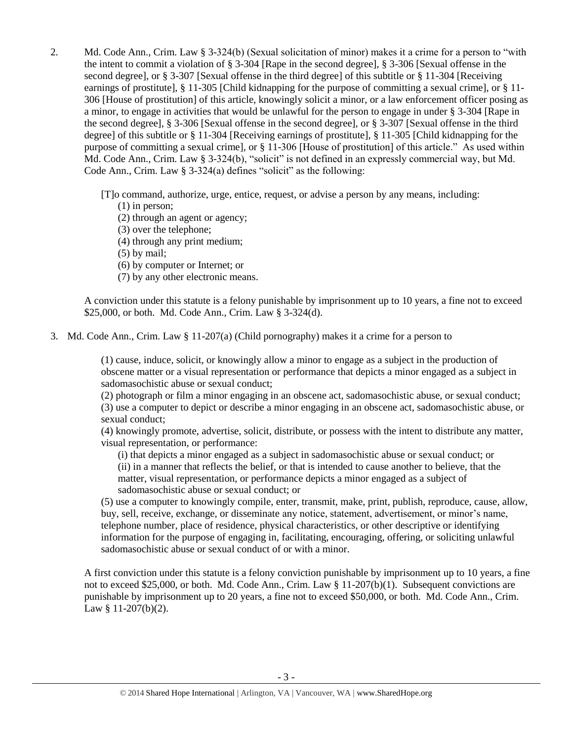2. Md. Code Ann., Crim. Law § 3-324(b) (Sexual solicitation of minor) makes it a crime for a person to "with the intent to commit a violation of § 3-304 [Rape in the second degree], § 3-306 [Sexual offense in the second degree], or § 3-307 [Sexual offense in the third degree] of this subtitle or § 11-304 [Receiving earnings of prostitute], § 11-305 [Child kidnapping for the purpose of committing a sexual crime], or § 11- 306 [House of prostitution] of this article, knowingly solicit a minor, or a law enforcement officer posing as a minor, to engage in activities that would be unlawful for the person to engage in under § 3-304 [Rape in the second degree], § 3-306 [Sexual offense in the second degree], or § 3-307 [Sexual offense in the third degree] of this subtitle or § 11-304 [Receiving earnings of prostitute], § 11-305 [Child kidnapping for the purpose of committing a sexual crime], or § 11-306 [House of prostitution] of this article." As used within Md. Code Ann., Crim. Law § 3-324(b), "solicit" is not defined in an expressly commercial way, but Md. Code Ann., Crim. Law § 3-324(a) defines "solicit" as the following:

[T]o command, authorize, urge, entice, request, or advise a person by any means, including:

(1) in person;

(2) through an agent or agency;

(3) over the telephone;

(4) through any print medium;

(5) by mail;

(6) by computer or Internet; or

(7) by any other electronic means.

A conviction under this statute is a felony punishable by imprisonment up to 10 years, a fine not to exceed \$25,000, or both. Md. Code Ann., Crim. Law § 3-324(d).

3. Md. Code Ann., Crim. Law § 11-207(a) (Child pornography) makes it a crime for a person to

(1) cause, induce, solicit, or knowingly allow a minor to engage as a subject in the production of obscene matter or a visual representation or performance that depicts a minor engaged as a subject in sadomasochistic abuse or sexual conduct;

(2) photograph or film a minor engaging in an obscene act, sadomasochistic abuse, or sexual conduct; (3) use a computer to depict or describe a minor engaging in an obscene act, sadomasochistic abuse, or sexual conduct;

(4) knowingly promote, advertise, solicit, distribute, or possess with the intent to distribute any matter, visual representation, or performance:

(i) that depicts a minor engaged as a subject in sadomasochistic abuse or sexual conduct; or (ii) in a manner that reflects the belief, or that is intended to cause another to believe, that the matter, visual representation, or performance depicts a minor engaged as a subject of sadomasochistic abuse or sexual conduct; or

(5) use a computer to knowingly compile, enter, transmit, make, print, publish, reproduce, cause, allow, buy, sell, receive, exchange, or disseminate any notice, statement, advertisement, or minor's name, telephone number, place of residence, physical characteristics, or other descriptive or identifying information for the purpose of engaging in, facilitating, encouraging, offering, or soliciting unlawful sadomasochistic abuse or sexual conduct of or with a minor.

A first conviction under this statute is a felony conviction punishable by imprisonment up to 10 years, a fine not to exceed \$25,000, or both. Md. Code Ann., Crim. Law § 11-207(b)(1). Subsequent convictions are punishable by imprisonment up to 20 years, a fine not to exceed \$50,000, or both. Md. Code Ann., Crim. Law § 11-207(b)(2).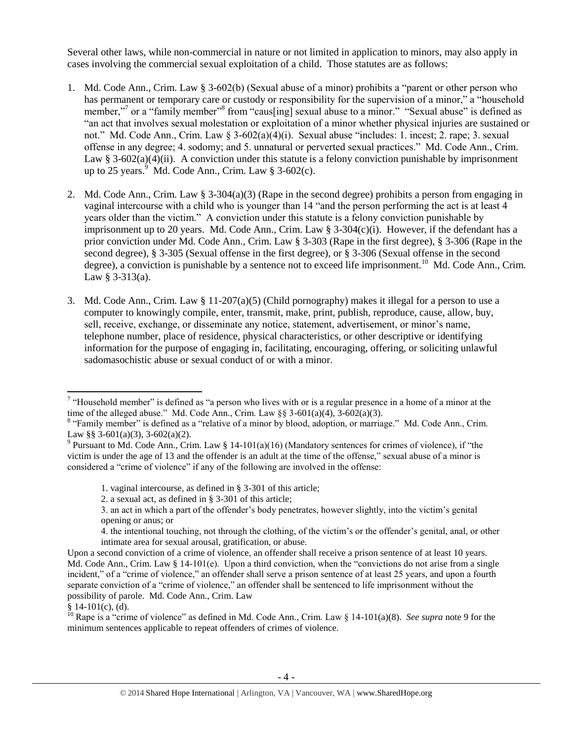Several other laws, while non-commercial in nature or not limited in application to minors, may also apply in cases involving the commercial sexual exploitation of a child. Those statutes are as follows:

- 1. Md. Code Ann., Crim. Law § 3-602(b) (Sexual abuse of a minor) prohibits a "parent or other person who has permanent or temporary care or custody or responsibility for the supervision of a minor," a "household member,"<sup>7</sup> or a "family member"<sup>8</sup> from "caus[ing] sexual abuse to a minor." "Sexual abuse" is defined as "an act that involves sexual molestation or exploitation of a minor whether physical injuries are sustained or not." Md. Code Ann., Crim. Law § 3-602(a)(4)(i). Sexual abuse "includes: 1. incest; 2. rape; 3. sexual offense in any degree; 4. sodomy; and 5. unnatural or perverted sexual practices." Md. Code Ann., Crim. Law § 3-602(a)(4)(ii). A conviction under this statute is a felony conviction punishable by imprisonment up to 25 years. $9$  Md. Code Ann., Crim. Law  $§$  3-602(c).
- <span id="page-3-0"></span>2. Md. Code Ann., Crim. Law  $\S 3-304(a)(3)$  (Rape in the second degree) prohibits a person from engaging in vaginal intercourse with a child who is younger than 14 "and the person performing the act is at least 4 years older than the victim." A conviction under this statute is a felony conviction punishable by imprisonment up to 20 years. Md. Code Ann., Crim. Law  $\S 3-304(c)(i)$ . However, if the defendant has a prior conviction under Md. Code Ann., Crim. Law § 3-303 (Rape in the first degree), § 3-306 (Rape in the second degree), § 3-305 (Sexual offense in the first degree), or § 3-306 (Sexual offense in the second degree), a conviction is punishable by a sentence not to exceed life imprisonment.<sup>10</sup> Md. Code Ann., Crim. Law § 3-313(a).
- 3. Md. Code Ann., Crim. Law § 11-207(a)(5) (Child pornography) makes it illegal for a person to use a computer to knowingly compile, enter, transmit, make, print, publish, reproduce, cause, allow, buy, sell, receive, exchange, or disseminate any notice, statement, advertisement, or minor's name, telephone number, place of residence, physical characteristics, or other descriptive or identifying information for the purpose of engaging in, facilitating, encouraging, offering, or soliciting unlawful sadomasochistic abuse or sexual conduct of or with a minor.

<sup>&</sup>lt;sup>7</sup> "Household member" is defined as "a person who lives with or is a regular presence in a home of a minor at the time of the alleged abuse." Md. Code Ann., Crim. Law  $\S$ § 3-601(a)(4), 3-602(a)(3).

<sup>&</sup>lt;sup>8</sup> "Family member" is defined as a "relative of a minor by blood, adoption, or marriage." Md. Code Ann., Crim. Law §§ 3-601(a)(3), 3-602(a)(2).

<sup>&</sup>lt;sup>9</sup> Pursuant to Md. Code Ann., Crim. Law § 14-101(a)(16) (Mandatory sentences for crimes of violence), if "the victim is under the age of 13 and the offender is an adult at the time of the offense," sexual abuse of a minor is considered a "crime of violence" if any of the following are involved in the offense:

<sup>1.</sup> vaginal intercourse, as defined in § 3-301 of this article;

<sup>2.</sup> a sexual act, as defined in § 3-301 of this article;

<sup>3.</sup> an act in which a part of the offender's body penetrates, however slightly, into the victim's genital opening or anus; or

<sup>4.</sup> the intentional touching, not through the clothing, of the victim's or the offender's genital, anal, or other intimate area for sexual arousal, gratification, or abuse.

Upon a second conviction of a crime of violence, an offender shall receive a prison sentence of at least 10 years. Md. Code Ann., Crim. Law § 14-101(e). Upon a third conviction, when the "convictions do not arise from a single incident," of a "crime of violence," an offender shall serve a prison sentence of at least 25 years, and upon a fourth separate conviction of a "crime of violence," an offender shall be sentenced to life imprisonment without the possibility of parole. Md. Code Ann., Crim. Law

 $§ 14-101(c)$ , (d).

<sup>&</sup>lt;sup>10</sup> Rape is a "crime of violence" as defined in Md. Code Ann., Crim. Law § 14-101(a)(8). *See supra* not[e 9](#page-3-0) for the minimum sentences applicable to repeat offenders of crimes of violence.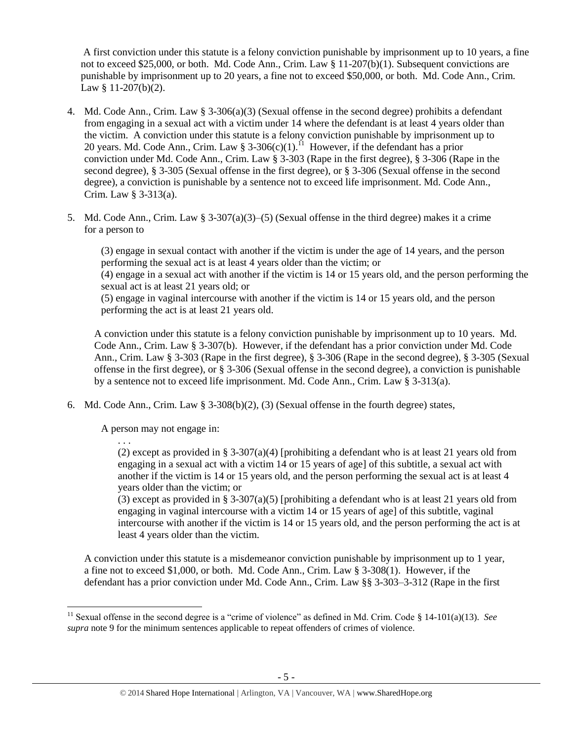A first conviction under this statute is a felony conviction punishable by imprisonment up to 10 years, a fine not to exceed \$25,000, or both. Md. Code Ann., Crim. Law § 11-207(b)(1). Subsequent convictions are punishable by imprisonment up to 20 years, a fine not to exceed \$50,000, or both. Md. Code Ann., Crim. Law § 11-207(b)(2).

- 4. Md. Code Ann., Crim. Law § 3-306(a)(3) (Sexual offense in the second degree) prohibits a defendant from engaging in a sexual act with a victim under 14 where the defendant is at least 4 years older than the victim. A conviction under this statute is a felony conviction punishable by imprisonment up to 20 years. Md. Code Ann., Crim. Law § 3-306(c)(1).<sup>11</sup> However, if the defendant has a prior conviction under Md. Code Ann., Crim. Law § 3-303 (Rape in the first degree), § 3-306 (Rape in the second degree), § 3-305 (Sexual offense in the first degree), or § 3-306 (Sexual offense in the second degree), a conviction is punishable by a sentence not to exceed life imprisonment. Md. Code Ann., Crim. Law § 3-313(a).
- 5. Md. Code Ann., Crim. Law § 3-307(a)(3)–(5) (Sexual offense in the third degree) makes it a crime for a person to

(3) engage in sexual contact with another if the victim is under the age of 14 years, and the person performing the sexual act is at least 4 years older than the victim; or

(4) engage in a sexual act with another if the victim is 14 or 15 years old, and the person performing the sexual act is at least 21 years old; or

(5) engage in vaginal intercourse with another if the victim is 14 or 15 years old, and the person performing the act is at least 21 years old.

A conviction under this statute is a felony conviction punishable by imprisonment up to 10 years. Md. Code Ann., Crim. Law § 3-307(b). However, if the defendant has a prior conviction under Md. Code Ann., Crim. Law § 3-303 (Rape in the first degree), § 3-306 (Rape in the second degree), § 3-305 (Sexual offense in the first degree), or § 3-306 (Sexual offense in the second degree), a conviction is punishable by a sentence not to exceed life imprisonment. Md. Code Ann., Crim. Law § 3-313(a).

6. Md. Code Ann., Crim. Law  $\S$  3-308(b)(2), (3) (Sexual offense in the fourth degree) states,

A person may not engage in:

. . .

(2) except as provided in § 3-307(a)(4) [prohibiting a defendant who is at least 21 years old from engaging in a sexual act with a victim 14 or 15 years of age] of this subtitle, a sexual act with another if the victim is 14 or 15 years old, and the person performing the sexual act is at least 4 years older than the victim; or

(3) except as provided in § 3-307(a)(5) [prohibiting a defendant who is at least 21 years old from engaging in vaginal intercourse with a victim 14 or 15 years of age] of this subtitle, vaginal intercourse with another if the victim is 14 or 15 years old, and the person performing the act is at least 4 years older than the victim.

A conviction under this statute is a misdemeanor conviction punishable by imprisonment up to 1 year, a fine not to exceed \$1,000, or both. Md. Code Ann., Crim. Law § 3-308(1). However, if the defendant has a prior conviction under Md. Code Ann., Crim. Law §§ 3-303–3-312 (Rape in the first

l <sup>11</sup> Sexual offense in the second degree is a "crime of violence" as defined in Md. Crim. Code § 14-101(a)(13). *See supra* note [9](#page-3-0) for the minimum sentences applicable to repeat offenders of crimes of violence.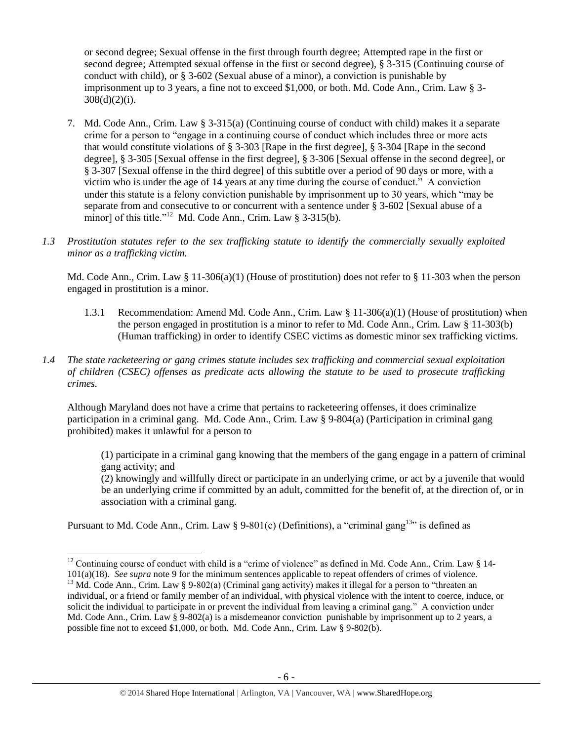or second degree; Sexual offense in the first through fourth degree; Attempted rape in the first or second degree; Attempted sexual offense in the first or second degree), § 3-315 (Continuing course of conduct with child), or § 3-602 (Sexual abuse of a minor), a conviction is punishable by imprisonment up to 3 years, a fine not to exceed \$1,000, or both. Md. Code Ann., Crim. Law § 3-  $308(d)(2)(i)$ .

- 7. Md. Code Ann., Crim. Law § 3-315(a) (Continuing course of conduct with child) makes it a separate crime for a person to "engage in a continuing course of conduct which includes three or more acts that would constitute violations of § 3-303 [Rape in the first degree], § 3-304 [Rape in the second degree], § 3-305 [Sexual offense in the first degree], § 3-306 [Sexual offense in the second degree], or § 3-307 [Sexual offense in the third degree] of this subtitle over a period of 90 days or more, with a victim who is under the age of 14 years at any time during the course of conduct." A conviction under this statute is a felony conviction punishable by imprisonment up to 30 years, which "may be separate from and consecutive to or concurrent with a sentence under § 3-602 [Sexual abuse of a minor] of this title."<sup>12</sup> Md. Code Ann., Crim. Law § 3-315(b).
- *1.3 Prostitution statutes refer to the sex trafficking statute to identify the commercially sexually exploited minor as a trafficking victim.*

Md. Code Ann., Crim. Law § 11-306(a)(1) (House of prostitution) does not refer to § 11-303 when the person engaged in prostitution is a minor.

- 1.3.1 Recommendation: Amend Md. Code Ann., Crim. Law § 11-306(a)(1) (House of prostitution) when the person engaged in prostitution is a minor to refer to Md. Code Ann., Crim. Law § 11-303(b) (Human trafficking) in order to identify CSEC victims as domestic minor sex trafficking victims.
- *1.4 The state racketeering or gang crimes statute includes sex trafficking and commercial sexual exploitation of children (CSEC) offenses as predicate acts allowing the statute to be used to prosecute trafficking crimes.*

Although Maryland does not have a crime that pertains to racketeering offenses, it does criminalize participation in a criminal gang. Md. Code Ann., Crim. Law § 9-804(a) (Participation in criminal gang prohibited) makes it unlawful for a person to

(1) participate in a criminal gang knowing that the members of the gang engage in a pattern of criminal gang activity; and

(2) knowingly and willfully direct or participate in an underlying crime, or act by a juvenile that would be an underlying crime if committed by an adult, committed for the benefit of, at the direction of, or in association with a criminal gang.

Pursuant to Md. Code Ann., Crim. Law § 9-801(c) (Definitions), a "criminal gang<sup>13</sup>" is defined as

 $\overline{\phantom{a}}$ 

<sup>&</sup>lt;sup>12</sup> Continuing course of conduct with child is a "crime of violence" as defined in Md. Code Ann., Crim. Law § 14-101(a)(18). *See supra* not[e 9](#page-3-0) for the minimum sentences applicable to repeat offenders of crimes of violence.

<sup>&</sup>lt;sup>13</sup> Md. Code Ann., Crim. Law § 9-802(a) (Criminal gang activity) makes it illegal for a person to "threaten an individual, or a friend or family member of an individual, with physical violence with the intent to coerce, induce, or solicit the individual to participate in or prevent the individual from leaving a criminal gang." A conviction under Md. Code Ann., Crim. Law § 9-802(a) is a misdemeanor conviction punishable by imprisonment up to 2 years, a possible fine not to exceed \$1,000, or both. Md. Code Ann., Crim. Law § 9-802(b).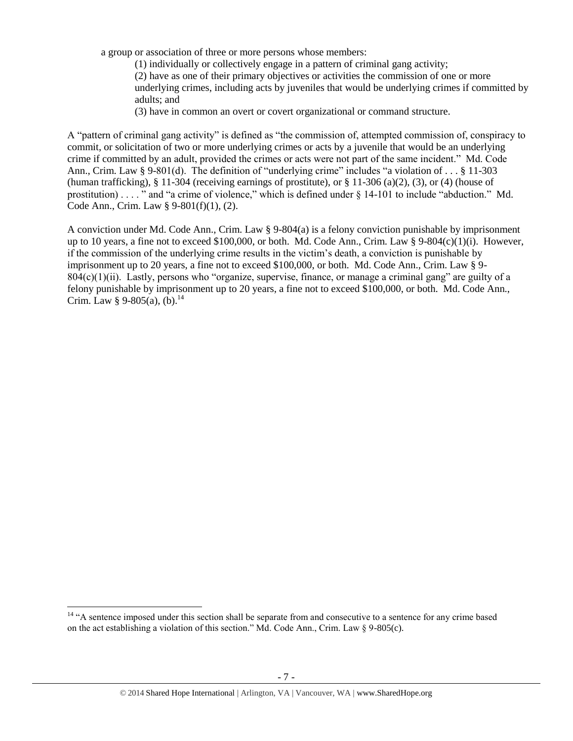a group or association of three or more persons whose members:

(1) individually or collectively engage in a pattern of criminal gang activity; (2) have as one of their primary objectives or activities the commission of one or more underlying crimes, including acts by juveniles that would be underlying crimes if committed by adults; and

(3) have in common an overt or covert organizational or command structure.

A "pattern of criminal gang activity" is defined as "the commission of, attempted commission of, conspiracy to commit, or solicitation of two or more underlying crimes or acts by a juvenile that would be an underlying crime if committed by an adult, provided the crimes or acts were not part of the same incident." Md. Code Ann., Crim. Law § 9-801(d). The definition of "underlying crime" includes "a violation of . . . § 11-303 (human trafficking), § 11-304 (receiving earnings of prostitute), or § 11-306 (a)(2), (3), or (4) (house of prostitution) . . . . " and "a crime of violence," which is defined under § 14-101 to include "abduction." Md. Code Ann., Crim. Law § 9-801(f)(1), (2).

A conviction under Md. Code Ann., Crim. Law § 9-804(a) is a felony conviction punishable by imprisonment up to 10 years, a fine not to exceed \$100,000, or both. Md. Code Ann., Crim. Law § 9-804(c)(1)(i). However, if the commission of the underlying crime results in the victim's death, a conviction is punishable by imprisonment up to 20 years, a fine not to exceed \$100,000, or both. Md. Code Ann., Crim. Law § 9-  $804(c)(1)(ii)$ . Lastly, persons who "organize, supervise, finance, or manage a criminal gang" are guilty of a felony punishable by imprisonment up to 20 years, a fine not to exceed \$100,000, or both. Md. Code Ann., Crim. Law § 9-805(a), (b).<sup>14</sup>

l

<sup>&</sup>lt;sup>14</sup> "A sentence imposed under this section shall be separate from and consecutive to a sentence for any crime based on the act establishing a violation of this section." Md. Code Ann., Crim. Law § 9-805(c).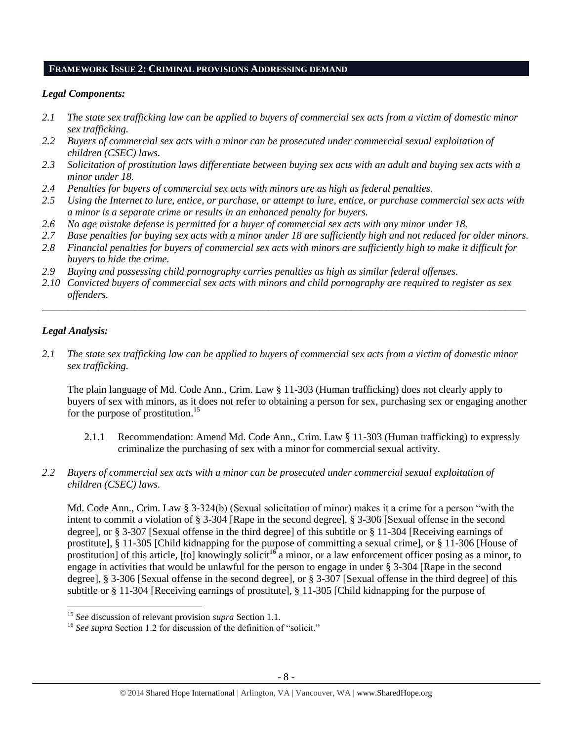#### **FRAMEWORK ISSUE 2: CRIMINAL PROVISIONS ADDRESSING DEMAND**

## *Legal Components:*

- *2.1 The state sex trafficking law can be applied to buyers of commercial sex acts from a victim of domestic minor sex trafficking.*
- *2.2 Buyers of commercial sex acts with a minor can be prosecuted under commercial sexual exploitation of children (CSEC) laws.*
- *2.3 Solicitation of prostitution laws differentiate between buying sex acts with an adult and buying sex acts with a minor under 18.*
- *2.4 Penalties for buyers of commercial sex acts with minors are as high as federal penalties.*
- *2.5 Using the Internet to lure, entice, or purchase, or attempt to lure, entice, or purchase commercial sex acts with a minor is a separate crime or results in an enhanced penalty for buyers.*
- *2.6 No age mistake defense is permitted for a buyer of commercial sex acts with any minor under 18.*
- *2.7 Base penalties for buying sex acts with a minor under 18 are sufficiently high and not reduced for older minors.*
- *2.8 Financial penalties for buyers of commercial sex acts with minors are sufficiently high to make it difficult for buyers to hide the crime.*
- *2.9 Buying and possessing child pornography carries penalties as high as similar federal offenses.*
- *2.10 Convicted buyers of commercial sex acts with minors and child pornography are required to register as sex offenders.*

\_\_\_\_\_\_\_\_\_\_\_\_\_\_\_\_\_\_\_\_\_\_\_\_\_\_\_\_\_\_\_\_\_\_\_\_\_\_\_\_\_\_\_\_\_\_\_\_\_\_\_\_\_\_\_\_\_\_\_\_\_\_\_\_\_\_\_\_\_\_\_\_\_\_\_\_\_\_\_\_\_\_\_\_\_\_\_\_\_\_\_\_\_\_

# *Legal Analysis:*

l

*2.1 The state sex trafficking law can be applied to buyers of commercial sex acts from a victim of domestic minor sex trafficking.* 

The plain language of Md. Code Ann., Crim. Law § 11-303 (Human trafficking) does not clearly apply to buyers of sex with minors, as it does not refer to obtaining a person for sex, purchasing sex or engaging another for the purpose of prostitution.<sup>15</sup>

- 2.1.1 Recommendation: Amend Md. Code Ann., Crim. Law § 11-303 (Human trafficking) to expressly criminalize the purchasing of sex with a minor for commercial sexual activity.
- *2.2 Buyers of commercial sex acts with a minor can be prosecuted under commercial sexual exploitation of children (CSEC) laws.*

Md. Code Ann., Crim. Law § 3-324(b) (Sexual solicitation of minor) makes it a crime for a person "with the intent to commit a violation of § 3-304 [Rape in the second degree], § 3-306 [Sexual offense in the second degree], or § 3-307 [Sexual offense in the third degree] of this subtitle or § 11-304 [Receiving earnings of prostitute], § 11-305 [Child kidnapping for the purpose of committing a sexual crime], or § 11-306 [House of prostitution] of this article,  $[$ to] knowingly solicit<sup>16</sup> a minor, or a law enforcement officer posing as a minor, to engage in activities that would be unlawful for the person to engage in under § 3-304 [Rape in the second degree], § 3-306 [Sexual offense in the second degree], or § 3-307 [Sexual offense in the third degree] of this subtitle or § 11-304 [Receiving earnings of prostitute], § 11-305 [Child kidnapping for the purpose of

<sup>15</sup> *See* discussion of relevant provision *supra* Section 1.1*.*

<sup>&</sup>lt;sup>16</sup> See supra Section 1.2 for discussion of the definition of "solicit."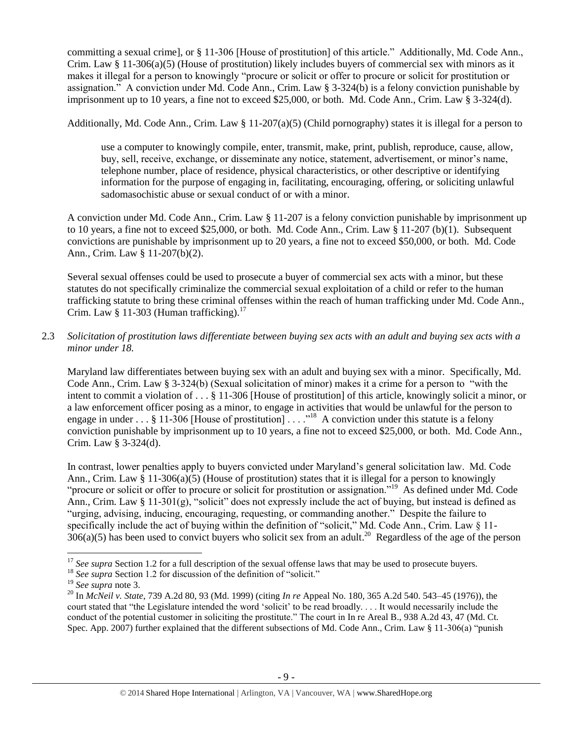committing a sexual crime], or § 11-306 [House of prostitution] of this article." Additionally, Md. Code Ann., Crim. Law § 11-306(a)(5) (House of prostitution) likely includes buyers of commercial sex with minors as it makes it illegal for a person to knowingly "procure or solicit or offer to procure or solicit for prostitution or assignation." A conviction under Md. Code Ann., Crim. Law § 3-324(b) is a felony conviction punishable by imprisonment up to 10 years, a fine not to exceed \$25,000, or both. Md. Code Ann., Crim. Law § 3-324(d).

Additionally, Md. Code Ann., Crim. Law § 11-207(a)(5) (Child pornography) states it is illegal for a person to

use a computer to knowingly compile, enter, transmit, make, print, publish, reproduce, cause, allow, buy, sell, receive, exchange, or disseminate any notice, statement, advertisement, or minor's name, telephone number, place of residence, physical characteristics, or other descriptive or identifying information for the purpose of engaging in, facilitating, encouraging, offering, or soliciting unlawful sadomasochistic abuse or sexual conduct of or with a minor.

A conviction under Md. Code Ann., Crim. Law § 11-207 is a felony conviction punishable by imprisonment up to 10 years, a fine not to exceed \$25,000, or both. Md. Code Ann., Crim. Law § 11-207 (b)(1). Subsequent convictions are punishable by imprisonment up to 20 years, a fine not to exceed \$50,000, or both. Md. Code Ann., Crim. Law § 11-207(b)(2).

Several sexual offenses could be used to prosecute a buyer of commercial sex acts with a minor, but these statutes do not specifically criminalize the commercial sexual exploitation of a child or refer to the human trafficking statute to bring these criminal offenses within the reach of human trafficking under Md. Code Ann., Crim. Law § 11-303 (Human trafficking).<sup>17</sup>

# 2.3 *Solicitation of prostitution laws differentiate between buying sex acts with an adult and buying sex acts with a minor under 18.*

Maryland law differentiates between buying sex with an adult and buying sex with a minor. Specifically, Md. Code Ann., Crim. Law § 3-324(b) (Sexual solicitation of minor) makes it a crime for a person to "with the intent to commit a violation of . . . § 11-306 [House of prostitution] of this article, knowingly solicit a minor, or a law enforcement officer posing as a minor, to engage in activities that would be unlawful for the person to engage in under . . . § 11-306 [House of prostitution] . . . .<sup>18</sup> A conviction under this statute is a felony conviction punishable by imprisonment up to 10 years, a fine not to exceed \$25,000, or both. Md. Code Ann., Crim. Law § 3-324(d).

In contrast, lower penalties apply to buyers convicted under Maryland's general solicitation law. Md. Code Ann., Crim. Law § 11-306(a)(5) (House of prostitution) states that it is illegal for a person to knowingly "procure or solicit or offer to procure or solicit for prostitution or assignation."<sup>19</sup> As defined under Md. Code Ann., Crim. Law § 11-301(g), "solicit" does not expressly include the act of buying, but instead is defined as "urging, advising, inducing, encouraging, requesting, or commanding another." Despite the failure to specifically include the act of buying within the definition of "solicit," Md. Code Ann., Crim. Law § 11- $306(a)(5)$  has been used to convict buyers who solicit sex from an adult.<sup>20</sup> Regardless of the age of the person

 $\overline{\phantom{a}}$ 

<sup>&</sup>lt;sup>17</sup> See supra Section 1.2 for a full description of the sexual offense laws that may be used to prosecute buyers.

<sup>&</sup>lt;sup>18</sup> See supra Section 1.2 for discussion of the definition of "solicit."

<sup>19</sup> *See supra* note [3.](#page-1-0)

<sup>20</sup> In *McNeil v. State*, 739 A.2d 80, 93 (Md. 1999) (citing *In re* Appeal No. 180, 365 A.2d 540. 543–45 (1976)), the court stated that "the Legislature intended the word 'solicit' to be read broadly. . . . It would necessarily include the conduct of the potential customer in soliciting the prostitute." The court in In re Areal B., 938 A.2d 43, 47 (Md. Ct. Spec. App. 2007) further explained that the different subsections of Md. Code Ann., Crim. Law § 11-306(a) "punish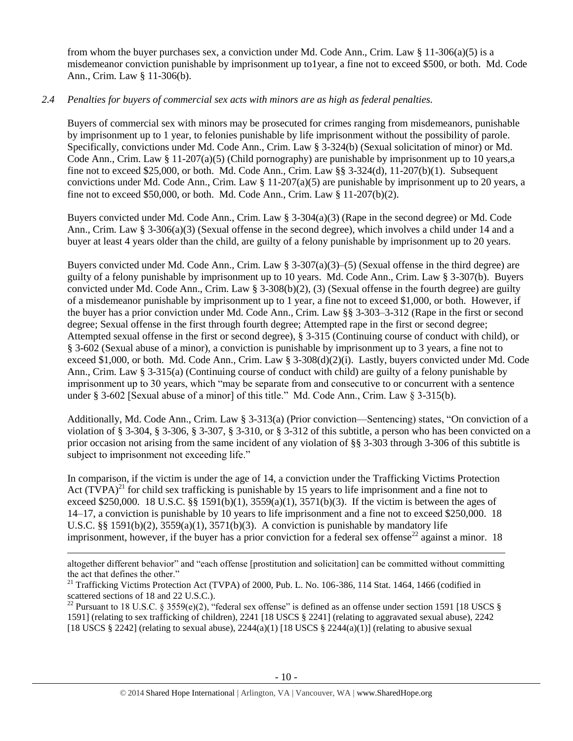from whom the buyer purchases sex, a conviction under Md. Code Ann., Crim. Law § 11-306(a)(5) is a misdemeanor conviction punishable by imprisonment up to1year, a fine not to exceed \$500, or both. Md. Code Ann., Crim. Law § 11-306(b).

## *2.4 Penalties for buyers of commercial sex acts with minors are as high as federal penalties.*

Buyers of commercial sex with minors may be prosecuted for crimes ranging from misdemeanors, punishable by imprisonment up to 1 year, to felonies punishable by life imprisonment without the possibility of parole. Specifically, convictions under Md. Code Ann., Crim. Law § 3-324(b) (Sexual solicitation of minor) or Md. Code Ann., Crim. Law  $\S 11-207(a)(5)$  (Child pornography) are punishable by imprisonment up to 10 years, a fine not to exceed \$25,000, or both. Md. Code Ann., Crim. Law §§ 3-324(d), 11-207(b)(1). Subsequent convictions under Md. Code Ann., Crim. Law § 11-207(a)(5) are punishable by imprisonment up to 20 years, a fine not to exceed \$50,000, or both. Md. Code Ann., Crim. Law  $\S 11-207(b)(2)$ .

Buyers convicted under Md. Code Ann., Crim. Law § 3-304(a)(3) (Rape in the second degree) or Md. Code Ann., Crim. Law § 3-306(a)(3) (Sexual offense in the second degree), which involves a child under 14 and a buyer at least 4 years older than the child, are guilty of a felony punishable by imprisonment up to 20 years.

Buyers convicted under Md. Code Ann., Crim. Law § 3-307(a)(3)–(5) (Sexual offense in the third degree) are guilty of a felony punishable by imprisonment up to 10 years. Md. Code Ann., Crim. Law § 3-307(b). Buyers convicted under Md. Code Ann., Crim. Law § 3-308(b)(2), (3) (Sexual offense in the fourth degree) are guilty of a misdemeanor punishable by imprisonment up to 1 year, a fine not to exceed \$1,000, or both. However, if the buyer has a prior conviction under Md. Code Ann., Crim. Law §§ 3-303–3-312 (Rape in the first or second degree; Sexual offense in the first through fourth degree; Attempted rape in the first or second degree; Attempted sexual offense in the first or second degree), § 3-315 (Continuing course of conduct with child), or § 3-602 (Sexual abuse of a minor), a conviction is punishable by imprisonment up to 3 years, a fine not to exceed \$1,000, or both. Md. Code Ann., Crim. Law § 3-308(d)(2)(i). Lastly, buyers convicted under Md. Code Ann., Crim. Law § 3-315(a) (Continuing course of conduct with child) are guilty of a felony punishable by imprisonment up to 30 years, which "may be separate from and consecutive to or concurrent with a sentence under § 3-602 [Sexual abuse of a minor] of this title." Md. Code Ann., Crim. Law § 3-315(b).

Additionally, Md. Code Ann., Crim. Law § 3-313(a) (Prior conviction—Sentencing) states, "On conviction of a violation of § 3-304, § 3-306, § 3-307, § 3-310, or § 3-312 of this subtitle, a person who has been convicted on a prior occasion not arising from the same incident of any violation of §§ 3-303 through 3-306 of this subtitle is subject to imprisonment not exceeding life."

<span id="page-9-0"></span>In comparison, if the victim is under the age of 14, a conviction under the Trafficking Victims Protection Act  $(TVPA)^{21}$  for child sex trafficking is punishable by 15 years to life imprisonment and a fine not to exceed \$250,000. 18 U.S.C. §§ 1591(b)(1),  $3559(a)(1)$ ,  $3571(b)(3)$ . If the victim is between the ages of 14–17, a conviction is punishable by 10 years to life imprisonment and a fine not to exceed \$250,000. 18 U.S.C. §§ 1591(b)(2),  $3559(a)(1)$ ,  $3571(b)(3)$ . A conviction is punishable by mandatory life imprisonment, however, if the buyer has a prior conviction for a federal sex offense<sup>22</sup> against a minor. 18

<span id="page-9-1"></span> $\overline{\phantom{a}}$ altogether different behavior" and "each offense [prostitution and solicitation] can be committed without committing the act that defines the other."

<sup>&</sup>lt;sup>21</sup> Trafficking Victims Protection Act (TVPA) of 2000, Pub. L. No. 106-386, 114 Stat. 1464, 1466 (codified in scattered sections of 18 and 22 U.S.C.).

<sup>&</sup>lt;sup>22</sup> Pursuant to 18 U.S.C. § 3559(e)(2), "federal sex offense" is defined as an offense under section 1591 [18 USCS § 1591] (relating to sex trafficking of children), 2241 [18 USCS § 2241] (relating to aggravated sexual abuse), 2242 [18 USCS § 2242] (relating to sexual abuse),  $2244(a)(1)$  [18 USCS § 2244(a)(1)] (relating to abusive sexual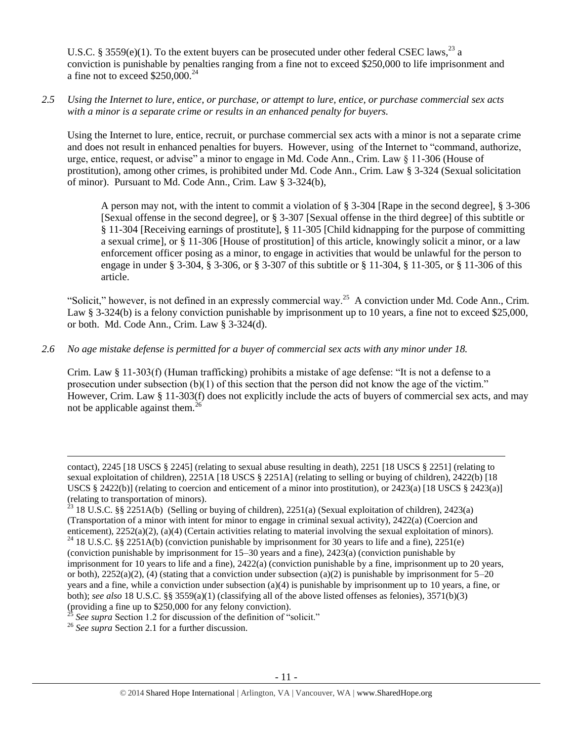U.S.C. § 3559(e)(1). To the extent buyers can be prosecuted under other federal CSEC laws,<sup>23</sup> a conviction is punishable by penalties ranging from a fine not to exceed \$250,000 to life imprisonment and a fine not to exceed  $$250,000.<sup>24</sup>$ 

*2.5 Using the Internet to lure, entice, or purchase, or attempt to lure, entice, or purchase commercial sex acts with a minor is a separate crime or results in an enhanced penalty for buyers.*

Using the Internet to lure, entice, recruit, or purchase commercial sex acts with a minor is not a separate crime and does not result in enhanced penalties for buyers. However, using of the Internet to "command, authorize, urge, entice, request, or advise" a minor to engage in Md. Code Ann., Crim. Law § 11-306 (House of prostitution), among other crimes, is prohibited under Md. Code Ann., Crim. Law § 3-324 (Sexual solicitation of minor). Pursuant to Md. Code Ann., Crim. Law § 3-324(b),

A person may not, with the intent to commit a violation of § 3-304 [Rape in the second degree], § 3-306 [Sexual offense in the second degree], or § 3-307 [Sexual offense in the third degree] of this subtitle or § 11-304 [Receiving earnings of prostitute], § 11-305 [Child kidnapping for the purpose of committing a sexual crime], or § 11-306 [House of prostitution] of this article, knowingly solicit a minor, or a law enforcement officer posing as a minor, to engage in activities that would be unlawful for the person to engage in under § 3-304, § 3-306, or § 3-307 of this subtitle or § 11-304, § 11-305, or § 11-306 of this article.

"Solicit," however, is not defined in an expressly commercial way.<sup>25</sup> A conviction under Md. Code Ann., Crim. Law § 3-324(b) is a felony conviction punishable by imprisonment up to 10 years, a fine not to exceed \$25,000, or both. Md. Code Ann., Crim. Law § 3-324(d).

*2.6 No age mistake defense is permitted for a buyer of commercial sex acts with any minor under 18.*

Crim. Law § 11-303(f) (Human trafficking) prohibits a mistake of age defense: "It is not a defense to a prosecution under subsection  $(b)(1)$  of this section that the person did not know the age of the victim." However, Crim. Law § 11-303(f) does not explicitly include the acts of buyers of commercial sex acts, and may not be applicable against them. $^{26}$ 

 $\overline{a}$ 

contact), 2245 [18 USCS § 2245] (relating to sexual abuse resulting in death), 2251 [18 USCS § 2251] (relating to sexual exploitation of children), 2251A [18 USCS § 2251A] (relating to selling or buying of children), 2422(b) [18 USCS § 2422(b)] (relating to coercion and enticement of a minor into prostitution), or 2423(a) [18 USCS § 2423(a)] (relating to transportation of minors).

<sup>&</sup>lt;sup>23</sup> 18 U.S.C. §§ 2251A(b) (Selling or buying of children), 2251(a) (Sexual exploitation of children), 2423(a) (Transportation of a minor with intent for minor to engage in criminal sexual activity), 2422(a) (Coercion and enticement), 2252(a)(2), (a)(4) (Certain activities relating to material involving the sexual exploitation of minors). <sup>24</sup> 18 U.S.C. §§ 2251A(b) (conviction punishable by imprisonment for 30 years to life and a fine), 2251(e) (conviction punishable by imprisonment for 15–30 years and a fine), 2423(a) (conviction punishable by imprisonment for 10 years to life and a fine), 2422(a) (conviction punishable by a fine, imprisonment up to 20 years, or both),  $2252(a)(2)$ , (4) (stating that a conviction under subsection (a)(2) is punishable by imprisonment for  $5-20$ years and a fine, while a conviction under subsection (a)(4) is punishable by imprisonment up to 10 years, a fine, or both); *see also* 18 U.S.C. §§ 3559(a)(1) (classifying all of the above listed offenses as felonies), 3571(b)(3) (providing a fine up to \$250,000 for any felony conviction).

See supra Section 1.2 for discussion of the definition of "solicit."

<sup>&</sup>lt;sup>26</sup> *See supra* Section 2.1 for a further discussion.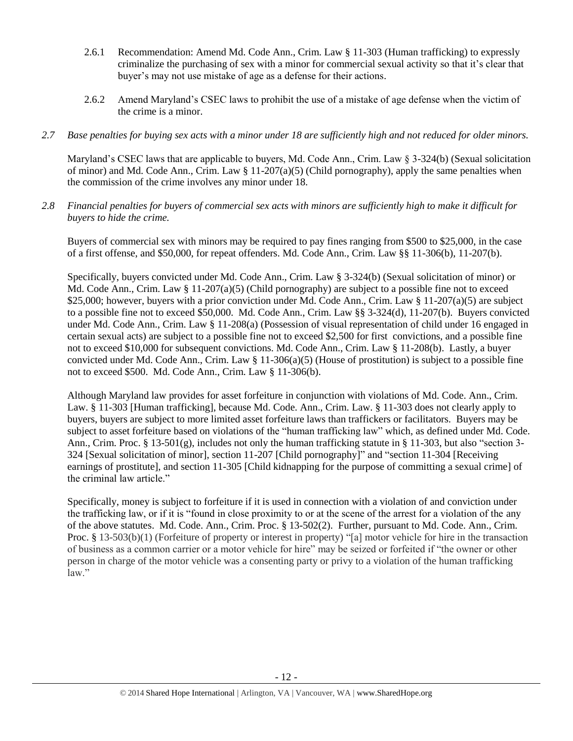- 2.6.1 Recommendation: Amend Md. Code Ann., Crim. Law § 11-303 (Human trafficking) to expressly criminalize the purchasing of sex with a minor for commercial sexual activity so that it's clear that buyer's may not use mistake of age as a defense for their actions.
- 2.6.2 Amend Maryland's CSEC laws to prohibit the use of a mistake of age defense when the victim of the crime is a minor.

## *2.7 Base penalties for buying sex acts with a minor under 18 are sufficiently high and not reduced for older minors.*

Maryland's CSEC laws that are applicable to buyers, Md. Code Ann., Crim. Law § 3-324(b) (Sexual solicitation of minor) and Md. Code Ann., Crim. Law  $\S 11-207(a)(5)$  (Child pornography), apply the same penalties when the commission of the crime involves any minor under 18.

*2.8 Financial penalties for buyers of commercial sex acts with minors are sufficiently high to make it difficult for buyers to hide the crime.*

Buyers of commercial sex with minors may be required to pay fines ranging from \$500 to \$25,000, in the case of a first offense, and \$50,000, for repeat offenders. Md. Code Ann., Crim. Law §§ 11-306(b), 11-207(b).

Specifically, buyers convicted under Md. Code Ann., Crim. Law § 3-324(b) (Sexual solicitation of minor) or Md. Code Ann., Crim. Law  $\S 11-207(a)(5)$  (Child pornography) are subject to a possible fine not to exceed \$25,000; however, buyers with a prior conviction under Md. Code Ann., Crim. Law § 11-207(a)(5) are subject to a possible fine not to exceed \$50,000. Md. Code Ann., Crim. Law §§ 3-324(d), 11-207(b). Buyers convicted under Md. Code Ann., Crim. Law § 11-208(a) (Possession of visual representation of child under 16 engaged in certain sexual acts) are subject to a possible fine not to exceed \$2,500 for first convictions, and a possible fine not to exceed \$10,000 for subsequent convictions. Md. Code Ann., Crim. Law § 11-208(b). Lastly, a buyer convicted under Md. Code Ann., Crim. Law  $\S 11-306(a)(5)$  (House of prostitution) is subject to a possible fine not to exceed \$500. Md. Code Ann., Crim. Law § 11-306(b).

Although Maryland law provides for asset forfeiture in conjunction with violations of Md. Code. Ann., Crim. Law. § 11-303 [Human trafficking], because Md. Code. Ann., Crim. Law. § 11-303 does not clearly apply to buyers, buyers are subject to more limited asset forfeiture laws than traffickers or facilitators. Buyers may be subject to asset forfeiture based on violations of the "human trafficking law" which, as defined under Md. Code. Ann., Crim. Proc. § 13-501(g), includes not only the human trafficking statute in § 11-303, but also "section 3- 324 [Sexual solicitation of minor], section 11-207 [Child pornography]" and "section 11-304 [Receiving earnings of prostitute], and section 11-305 [Child kidnapping for the purpose of committing a sexual crime] of the criminal law article."

Specifically, money is subject to forfeiture if it is used in connection with a violation of and conviction under the trafficking law, or if it is "found in close proximity to or at the scene of the arrest for a violation of the any of the above statutes. Md. Code. Ann., Crim. Proc. § 13-502(2). Further, pursuant to Md. Code. Ann., Crim. Proc. § 13-503(b)(1) (Forfeiture of property or interest in property) "[a] motor vehicle for hire in the transaction of business as a common carrier or a motor vehicle for hire" may be seized or forfeited if "the owner or other person in charge of the motor vehicle was a consenting party or privy to a violation of the human trafficking law."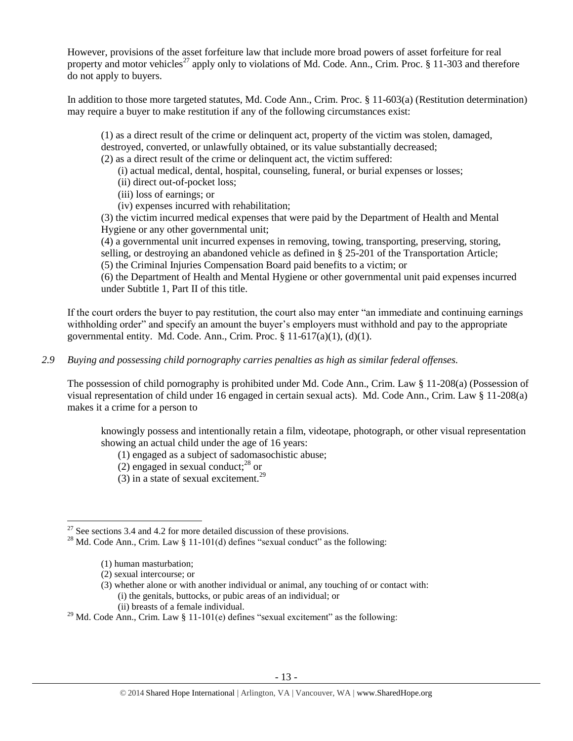However, provisions of the asset forfeiture law that include more broad powers of asset forfeiture for real property and motor vehicles<sup>27</sup> apply only to violations of Md. Code. Ann., Crim. Proc. § 11-303 and therefore do not apply to buyers.

In addition to those more targeted statutes, Md. Code Ann., Crim. Proc. § 11-603(a) (Restitution determination) may require a buyer to make restitution if any of the following circumstances exist:

(1) as a direct result of the crime or delinquent act, property of the victim was stolen, damaged, destroyed, converted, or unlawfully obtained, or its value substantially decreased;

- (2) as a direct result of the crime or delinquent act, the victim suffered:
	- (i) actual medical, dental, hospital, counseling, funeral, or burial expenses or losses;
	- (ii) direct out-of-pocket loss;
	- (iii) loss of earnings; or
	- (iv) expenses incurred with rehabilitation;

(3) the victim incurred medical expenses that were paid by the Department of Health and Mental Hygiene or any other governmental unit;

(4) a governmental unit incurred expenses in removing, towing, transporting, preserving, storing, selling, or destroying an abandoned vehicle as defined in § 25-201 of the Transportation Article;

(5) the Criminal Injuries Compensation Board paid benefits to a victim; or

(6) the Department of Health and Mental Hygiene or other governmental unit paid expenses incurred under Subtitle 1, Part II of this title.

If the court orders the buyer to pay restitution, the court also may enter "an immediate and continuing earnings withholding order" and specify an amount the buyer's employers must withhold and pay to the appropriate governmental entity. Md. Code. Ann., Crim. Proc.  $\S 11-617(a)(1)$ ,  $(d)(1)$ .

*2.9 Buying and possessing child pornography carries penalties as high as similar federal offenses.*

The possession of child pornography is prohibited under Md. Code Ann., Crim. Law § 11-208(a) (Possession of visual representation of child under 16 engaged in certain sexual acts). Md. Code Ann., Crim. Law § 11-208(a) makes it a crime for a person to

knowingly possess and intentionally retain a film, videotape, photograph, or other visual representation showing an actual child under the age of 16 years:

- (1) engaged as a subject of sadomasochistic abuse;
- (2) engaged in sexual conduct; $^{28}$  or
- (3) in a state of sexual excitement.<sup>29</sup>

 $\overline{a}$ 

- (3) whether alone or with another individual or animal, any touching of or contact with: (i) the genitals, buttocks, or pubic areas of an individual; or (ii) breasts of a female individual.
- <sup>29</sup> Md. Code Ann., Crim. Law § 11-101(e) defines "sexual excitement" as the following:

 $27$  See sections 3.4 and 4.2 for more detailed discussion of these provisions.

<sup>&</sup>lt;sup>28</sup> Md. Code Ann., Crim. Law § 11-101(d) defines "sexual conduct" as the following:

<sup>(1)</sup> human masturbation;

<sup>(2)</sup> sexual intercourse; or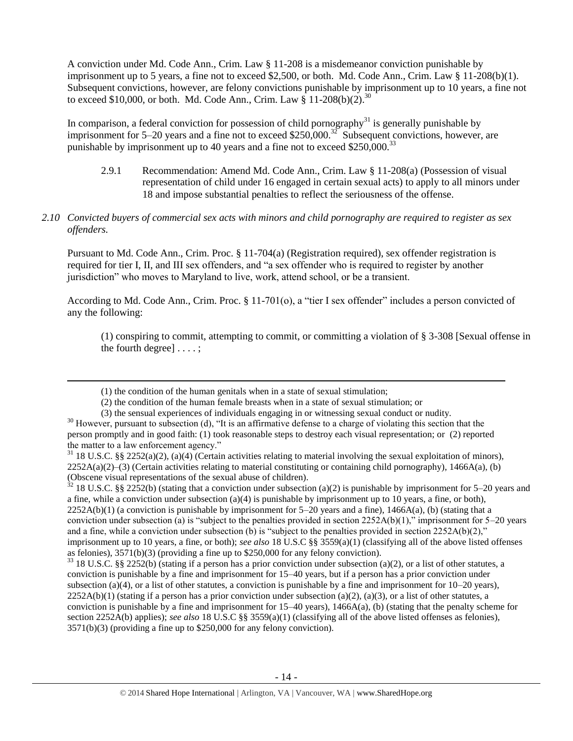A conviction under Md. Code Ann., Crim. Law § 11-208 is a misdemeanor conviction punishable by imprisonment up to 5 years, a fine not to exceed \$2,500, or both. Md. Code Ann., Crim. Law § 11-208(b)(1). Subsequent convictions, however, are felony convictions punishable by imprisonment up to 10 years, a fine not to exceed \$10,000, or both. Md. Code Ann., Crim. Law  $\S$  11-208(b)(2).<sup>30</sup>

In comparison, a federal conviction for possession of child pornography<sup>31</sup> is generally punishable by imprisonment for 5–20 years and a fine not to exceed \$250,000.<sup>32</sup> Subsequent convictions, however, are punishable by imprisonment up to 40 years and a fine not to exceed  $$250,000.<sup>33</sup>$ 

- 2.9.1 Recommendation: Amend Md. Code Ann., Crim. Law § 11-208(a) (Possession of visual representation of child under 16 engaged in certain sexual acts) to apply to all minors under 18 and impose substantial penalties to reflect the seriousness of the offense.
- *2.10 Convicted buyers of commercial sex acts with minors and child pornography are required to register as sex offenders.*

Pursuant to Md. Code Ann., Crim. Proc. § 11-704(a) (Registration required), sex offender registration is required for tier I, II, and III sex offenders, and "a sex offender who is required to register by another jurisdiction" who moves to Maryland to live, work, attend school, or be a transient.

According to Md. Code Ann., Crim. Proc. § 11-701(o), a "tier I sex offender" includes a person convicted of any the following:

(1) conspiring to commit, attempting to commit, or committing a violation of § 3-308 [Sexual offense in the fourth degree] . . . . ;

l

 $32$  18 U.S.C. §§ 2252(b) (stating that a conviction under subsection (a)(2) is punishable by imprisonment for 5–20 years and a fine, while a conviction under subsection (a)(4) is punishable by imprisonment up to 10 years, a fine, or both),  $2252A(b)(1)$  (a conviction is punishable by imprisonment for  $5-20$  years and a fine),  $1466A(a)$ , (b) (stating that a conviction under subsection (a) is "subject to the penalties provided in section  $2252A(b)(1)$ ," imprisonment for 5–20 years and a fine, while a conviction under subsection (b) is "subject to the penalties provided in section  $2252A(b)(2)$ ," imprisonment up to 10 years, a fine, or both); *see also* 18 U.S.C §§ 3559(a)(1) (classifying all of the above listed offenses as felonies), 3571(b)(3) (providing a fine up to \$250,000 for any felony conviction).

 $33$  18 U.S.C. §§ 2252(b) (stating if a person has a prior conviction under subsection (a)(2), or a list of other statutes, a conviction is punishable by a fine and imprisonment for 15–40 years, but if a person has a prior conviction under subsection (a)(4), or a list of other statutes, a conviction is punishable by a fine and imprisonment for  $10-20$  years),  $2252A(b)(1)$  (stating if a person has a prior conviction under subsection (a)(2), (a)(3), or a list of other statutes, a conviction is punishable by a fine and imprisonment for 15–40 years), 1466A(a), (b) (stating that the penalty scheme for section 2252A(b) applies); *see also* 18 U.S.C §§ 3559(a)(1) (classifying all of the above listed offenses as felonies), 3571(b)(3) (providing a fine up to \$250,000 for any felony conviction).

<sup>(1)</sup> the condition of the human genitals when in a state of sexual stimulation;

<sup>(2)</sup> the condition of the human female breasts when in a state of sexual stimulation; or

<sup>(3)</sup> the sensual experiences of individuals engaging in or witnessing sexual conduct or nudity.  $30$  However, pursuant to subsection (d), "It is an affirmative defense to a charge of violating this section that the person promptly and in good faith: (1) took reasonable steps to destroy each visual representation; or (2) reported the matter to a law enforcement agency."

 $31$  18 U.S.C. §§ 2252(a)(2), (a)(4) (Certain activities relating to material involving the sexual exploitation of minors),  $2252A(a)(2)$ –(3) (Certain activities relating to material constituting or containing child pornography), 1466A(a), (b) (Obscene visual representations of the sexual abuse of children).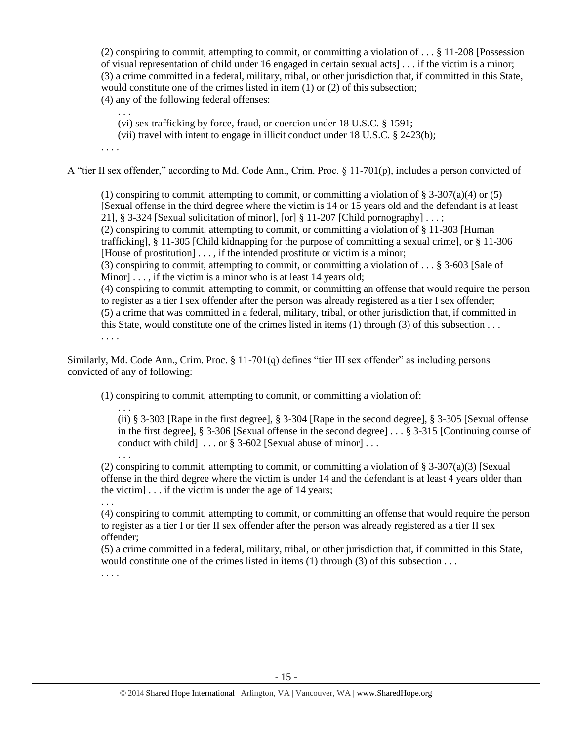(2) conspiring to commit, attempting to commit, or committing a violation of . . . § 11-208 [Possession of visual representation of child under 16 engaged in certain sexual acts] . . . if the victim is a minor; (3) a crime committed in a federal, military, tribal, or other jurisdiction that, if committed in this State, would constitute one of the crimes listed in item (1) or (2) of this subsection; (4) any of the following federal offenses:

. . .

(vi) sex trafficking by force, fraud, or coercion under 18 U.S.C. § 1591;

(vii) travel with intent to engage in illicit conduct under 18 U.S.C. § 2423(b);

. . . .

A "tier II sex offender," according to Md. Code Ann., Crim. Proc. § 11-701(p), includes a person convicted of

(1) conspiring to commit, attempting to commit, or committing a violation of  $\S 3-307(a)(4)$  or (5) [Sexual offense in the third degree where the victim is 14 or 15 years old and the defendant is at least 21], § 3-324 [Sexual solicitation of minor], [or] § 11-207 [Child pornography]  $\dots$ ; (2) conspiring to commit, attempting to commit, or committing a violation of § 11-303 [Human trafficking], § 11-305 [Child kidnapping for the purpose of committing a sexual crime], or § 11-306 [House of prostitution]  $\dots$ , if the intended prostitute or victim is a minor; (3) conspiring to commit, attempting to commit, or committing a violation of . . . § 3-603 [Sale of Minor]  $\dots$ , if the victim is a minor who is at least 14 years old; (4) conspiring to commit, attempting to commit, or committing an offense that would require the person to register as a tier I sex offender after the person was already registered as a tier I sex offender; (5) a crime that was committed in a federal, military, tribal, or other jurisdiction that, if committed in this State, would constitute one of the crimes listed in items (1) through (3) of this subsection . . . . . . .

Similarly, Md. Code Ann., Crim. Proc. § 11-701(q) defines "tier III sex offender" as including persons convicted of any of following:

(1) conspiring to commit, attempting to commit, or committing a violation of:

. . . (ii) § 3-303 [Rape in the first degree], § 3-304 [Rape in the second degree], § 3-305 [Sexual offense in the first degree], § 3-306 [Sexual offense in the second degree] . . . § 3-315 [Continuing course of conduct with child  $\ldots$  or § 3-602 [Sexual abuse of minor]...

(2) conspiring to commit, attempting to commit, or committing a violation of  $\S$  3-307(a)(3) [Sexual offense in the third degree where the victim is under 14 and the defendant is at least 4 years older than the victim] . . . if the victim is under the age of 14 years;

. . . (4) conspiring to commit, attempting to commit, or committing an offense that would require the person to register as a tier I or tier II sex offender after the person was already registered as a tier II sex offender;

(5) a crime committed in a federal, military, tribal, or other jurisdiction that, if committed in this State, would constitute one of the crimes listed in items  $(1)$  through  $(3)$  of this subsection ...

. . . .

. . .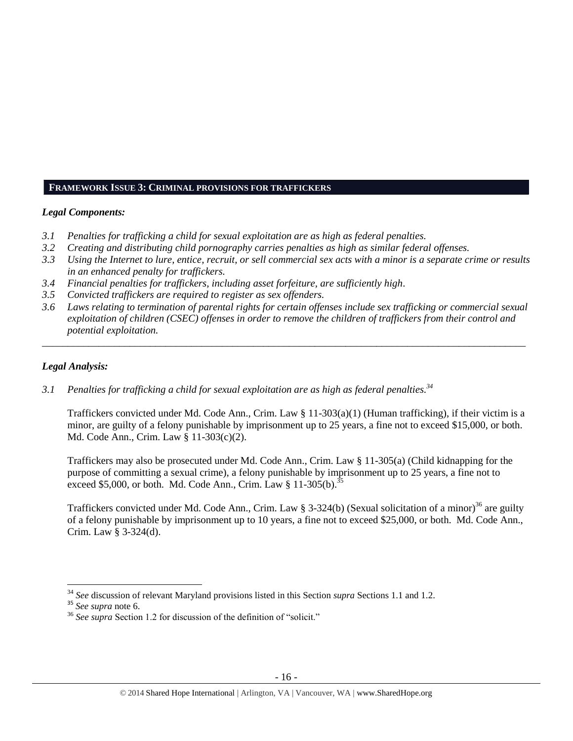## **FRAMEWORK ISSUE 3: CRIMINAL PROVISIONS FOR TRAFFICKERS**

## *Legal Components:*

- *3.1 Penalties for trafficking a child for sexual exploitation are as high as federal penalties.*
- *3.2 Creating and distributing child pornography carries penalties as high as similar federal offenses.*
- *3.3 Using the Internet to lure, entice, recruit, or sell commercial sex acts with a minor is a separate crime or results in an enhanced penalty for traffickers.*
- *3.4 Financial penalties for traffickers, including asset forfeiture, are sufficiently high*.
- *3.5 Convicted traffickers are required to register as sex offenders.*
- *3.6 Laws relating to termination of parental rights for certain offenses include sex trafficking or commercial sexual exploitation of children (CSEC) offenses in order to remove the children of traffickers from their control and potential exploitation.*

*\_\_\_\_\_\_\_\_\_\_\_\_\_\_\_\_\_\_\_\_\_\_\_\_\_\_\_\_\_\_\_\_\_\_\_\_\_\_\_\_\_\_\_\_\_\_\_\_\_\_\_\_\_\_\_\_\_\_\_\_\_\_\_\_\_\_\_\_\_\_\_\_\_\_\_\_\_\_\_\_\_\_\_\_\_\_\_\_\_\_\_\_\_\_*

#### *Legal Analysis:*

*3.1 Penalties for trafficking a child for sexual exploitation are as high as federal penalties. 34*

Traffickers convicted under Md. Code Ann., Crim. Law § 11-303(a)(1) (Human trafficking), if their victim is a minor, are guilty of a felony punishable by imprisonment up to 25 years, a fine not to exceed \$15,000, or both. Md. Code Ann., Crim. Law § 11-303(c)(2).

Traffickers may also be prosecuted under Md. Code Ann., Crim. Law § 11-305(a) (Child kidnapping for the purpose of committing a sexual crime), a felony punishable by imprisonment up to 25 years, a fine not to exceed \$5,000, or both. Md. Code Ann., Crim. Law  $§$  11-305(b).<sup>35</sup>

Traffickers convicted under Md. Code Ann., Crim. Law § 3-324(b) (Sexual solicitation of a minor)<sup>36</sup> are guilty of a felony punishable by imprisonment up to 10 years, a fine not to exceed \$25,000, or both. Md. Code Ann., Crim. Law § 3-324(d).

l

<sup>34</sup> *See* discussion of relevant Maryland provisions listed in this Section *supra* Sections 1.1 and 1.2.

<sup>35</sup> *See supra* note [6.](#page-1-1)

<sup>&</sup>lt;sup>36</sup> See supra Section 1.2 for discussion of the definition of "solicit."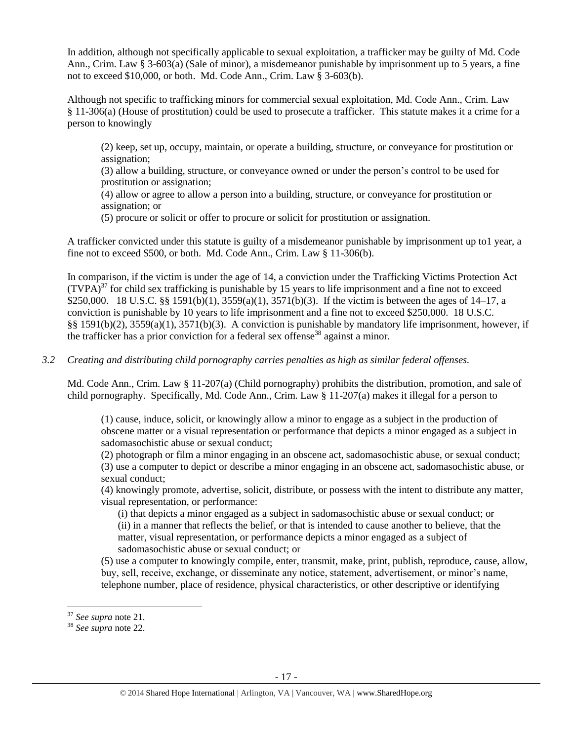In addition, although not specifically applicable to sexual exploitation, a trafficker may be guilty of Md. Code Ann., Crim. Law § 3-603(a) (Sale of minor), a misdemeanor punishable by imprisonment up to 5 years, a fine not to exceed \$10,000, or both. Md. Code Ann., Crim. Law § 3-603(b).

Although not specific to trafficking minors for commercial sexual exploitation, Md. Code Ann., Crim. Law § 11-306(a) (House of prostitution) could be used to prosecute a trafficker. This statute makes it a crime for a person to knowingly

(2) keep, set up, occupy, maintain, or operate a building, structure, or conveyance for prostitution or assignation;

(3) allow a building, structure, or conveyance owned or under the person's control to be used for prostitution or assignation;

(4) allow or agree to allow a person into a building, structure, or conveyance for prostitution or assignation; or

(5) procure or solicit or offer to procure or solicit for prostitution or assignation.

A trafficker convicted under this statute is guilty of a misdemeanor punishable by imprisonment up to1 year, a fine not to exceed \$500, or both. Md. Code Ann., Crim. Law § 11-306(b).

In comparison, if the victim is under the age of 14, a conviction under the Trafficking Victims Protection Act  $(TVPA)<sup>37</sup>$  for child sex trafficking is punishable by 15 years to life imprisonment and a fine not to exceed \$250,000. 18 U.S.C. §§ 1591(b)(1), 3559(a)(1), 3571(b)(3). If the victim is between the ages of 14–17, a conviction is punishable by 10 years to life imprisonment and a fine not to exceed \$250,000. 18 U.S.C. §§ 1591(b)(2), 3559(a)(1), 3571(b)(3). A conviction is punishable by mandatory life imprisonment, however, if the trafficker has a prior conviction for a federal sex offense<sup>38</sup> against a minor.

## *3.2 Creating and distributing child pornography carries penalties as high as similar federal offenses.*

Md. Code Ann., Crim. Law § 11-207(a) (Child pornography) prohibits the distribution, promotion, and sale of child pornography. Specifically, Md. Code Ann., Crim. Law § 11-207(a) makes it illegal for a person to

(1) cause, induce, solicit, or knowingly allow a minor to engage as a subject in the production of obscene matter or a visual representation or performance that depicts a minor engaged as a subject in sadomasochistic abuse or sexual conduct;

(2) photograph or film a minor engaging in an obscene act, sadomasochistic abuse, or sexual conduct; (3) use a computer to depict or describe a minor engaging in an obscene act, sadomasochistic abuse, or sexual conduct;

(4) knowingly promote, advertise, solicit, distribute, or possess with the intent to distribute any matter, visual representation, or performance:

(i) that depicts a minor engaged as a subject in sadomasochistic abuse or sexual conduct; or (ii) in a manner that reflects the belief, or that is intended to cause another to believe, that the matter, visual representation, or performance depicts a minor engaged as a subject of sadomasochistic abuse or sexual conduct; or

(5) use a computer to knowingly compile, enter, transmit, make, print, publish, reproduce, cause, allow, buy, sell, receive, exchange, or disseminate any notice, statement, advertisement, or minor's name, telephone number, place of residence, physical characteristics, or other descriptive or identifying

l

<sup>37</sup> *See supra* note [21.](#page-9-0)

<sup>38</sup> *See supra* note [22.](#page-9-1)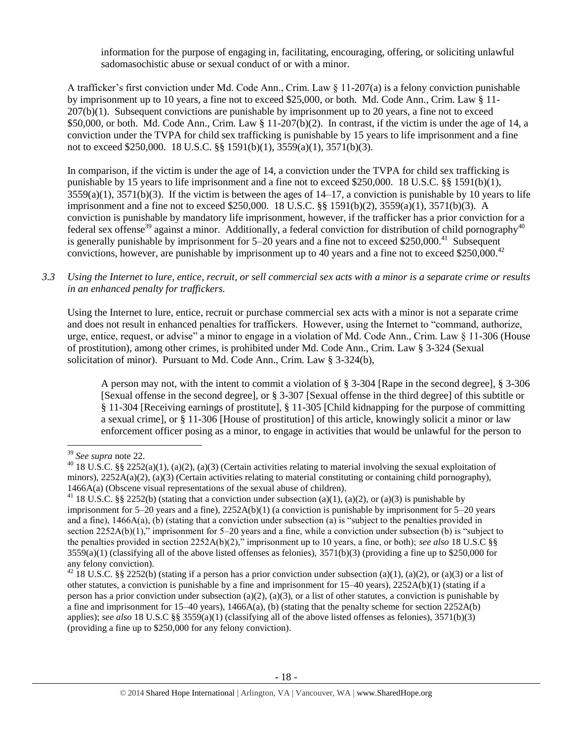information for the purpose of engaging in, facilitating, encouraging, offering, or soliciting unlawful sadomasochistic abuse or sexual conduct of or with a minor.

A trafficker's first conviction under Md. Code Ann., Crim. Law § 11-207(a) is a felony conviction punishable by imprisonment up to 10 years, a fine not to exceed \$25,000, or both. Md. Code Ann., Crim. Law § 11- 207(b)(1). Subsequent convictions are punishable by imprisonment up to 20 years, a fine not to exceed \$50,000, or both. Md. Code Ann., Crim. Law  $\S 11-207(b)(2)$ . In contrast, if the victim is under the age of 14, a conviction under the TVPA for child sex trafficking is punishable by 15 years to life imprisonment and a fine not to exceed \$250,000. 18 U.S.C. §§ 1591(b)(1), 3559(a)(1), 3571(b)(3).

In comparison, if the victim is under the age of 14, a conviction under the TVPA for child sex trafficking is punishable by 15 years to life imprisonment and a fine not to exceed \$250,000. 18 U.S.C. §§ 1591(b)(1),  $3559(a)(1)$ ,  $3571(b)(3)$ . If the victim is between the ages of  $14-17$ , a conviction is punishable by 10 years to life imprisonment and a fine not to exceed \$250,000. 18 U.S.C. §§ 1591(b)(2), 3559(a)(1), 3571(b)(3). A conviction is punishable by mandatory life imprisonment, however, if the trafficker has a prior conviction for a federal sex offense<sup>39</sup> against a minor. Additionally, a federal conviction for distribution of child pornography<sup>40</sup> is generally punishable by imprisonment for  $5-20$  years and a fine not to exceed \$250,000.<sup>41</sup> Subsequent convictions, however, are punishable by imprisonment up to 40 years and a fine not to exceed \$250,000.<sup>42</sup>

*3.3 Using the Internet to lure, entice, recruit, or sell commercial sex acts with a minor is a separate crime or results in an enhanced penalty for traffickers.*

Using the Internet to lure, entice, recruit or purchase commercial sex acts with a minor is not a separate crime and does not result in enhanced penalties for traffickers. However, using the Internet to "command, authorize, urge, entice, request, or advise" a minor to engage in a violation of Md. Code Ann., Crim. Law § 11-306 (House of prostitution), among other crimes, is prohibited under Md. Code Ann., Crim. Law § 3-324 (Sexual solicitation of minor). Pursuant to Md. Code Ann., Crim. Law § 3-324(b),

A person may not, with the intent to commit a violation of § 3-304 [Rape in the second degree], § 3-306 [Sexual offense in the second degree], or § 3-307 [Sexual offense in the third degree] of this subtitle or § 11-304 [Receiving earnings of prostitute], § 11-305 [Child kidnapping for the purpose of committing a sexual crime], or § 11-306 [House of prostitution] of this article, knowingly solicit a minor or law enforcement officer posing as a minor, to engage in activities that would be unlawful for the person to

l <sup>39</sup> *See supra* note [22.](#page-9-1)

<sup>&</sup>lt;sup>40</sup> 18 U.S.C. §§ 2252(a)(1), (a)(2), (a)(3) (Certain activities relating to material involving the sexual exploitation of minors),  $2252A(a)(2)$ , (a)(3) (Certain activities relating to material constituting or containing child pornography), 1466A(a) (Obscene visual representations of the sexual abuse of children).

<sup>&</sup>lt;sup>41</sup> 18 U.S.C. §§ 2252(b) (stating that a conviction under subsection (a)(1), (a)(2), or (a)(3) is punishable by imprisonment for 5–20 years and a fine), 2252A(b)(1) (a conviction is punishable by imprisonment for 5–20 years and a fine), 1466A(a), (b) (stating that a conviction under subsection (a) is "subject to the penalties provided in section 2252A(b)(1)," imprisonment for 5–20 years and a fine, while a conviction under subsection (b) is "subject to the penalties provided in section 2252A(b)(2)," imprisonment up to 10 years, a fine, or both); *see also* 18 U.S.C §§  $3559(a)(1)$  (classifying all of the above listed offenses as felonies),  $3571(b)(3)$  (providing a fine up to \$250,000 for any felony conviction).

<sup>&</sup>lt;sup>42</sup> 18 U.S.C. §§ 2252(b) (stating if a person has a prior conviction under subsection (a)(1), (a)(2), or (a)(3) or a list of other statutes, a conviction is punishable by a fine and imprisonment for  $15-40$  years),  $2252A(b)(1)$  (stating if a person has a prior conviction under subsection (a)(2), (a)(3), or a list of other statutes, a conviction is punishable by a fine and imprisonment for 15–40 years), 1466A(a), (b) (stating that the penalty scheme for section 2252A(b) applies); *see also* 18 U.S.C §§ 3559(a)(1) (classifying all of the above listed offenses as felonies), 3571(b)(3) (providing a fine up to \$250,000 for any felony conviction).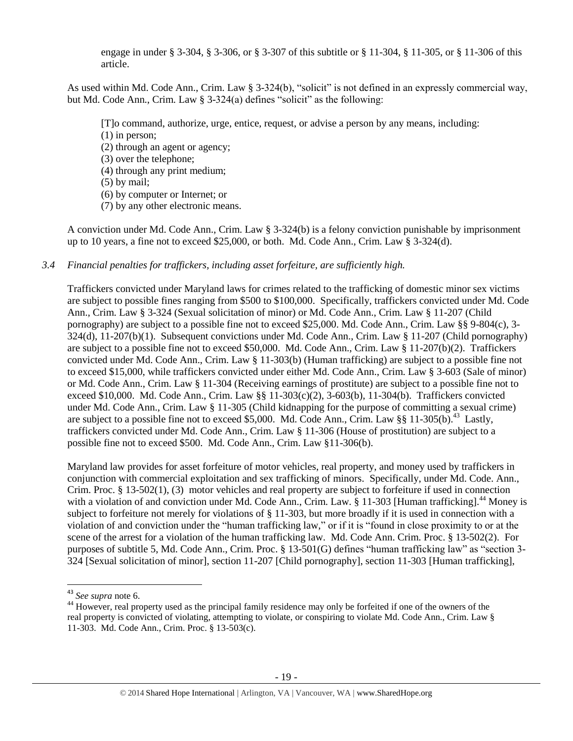engage in under § 3-304, § 3-306, or § 3-307 of this subtitle or § 11-304, § 11-305, or § 11-306 of this article.

As used within Md. Code Ann., Crim. Law § 3-324(b), "solicit" is not defined in an expressly commercial way, but Md. Code Ann., Crim. Law § 3-324(a) defines "solicit" as the following:

[T]o command, authorize, urge, entice, request, or advise a person by any means, including:

(1) in person;

- (2) through an agent or agency;
- (3) over the telephone;
- (4) through any print medium;
- (5) by mail;
- (6) by computer or Internet; or
- (7) by any other electronic means.

A conviction under Md. Code Ann., Crim. Law § 3-324(b) is a felony conviction punishable by imprisonment up to 10 years, a fine not to exceed \$25,000, or both. Md. Code Ann., Crim. Law § 3-324(d).

## *3.4 Financial penalties for traffickers, including asset forfeiture, are sufficiently high.*

Traffickers convicted under Maryland laws for crimes related to the trafficking of domestic minor sex victims are subject to possible fines ranging from \$500 to \$100,000. Specifically, traffickers convicted under Md. Code Ann., Crim. Law § 3-324 (Sexual solicitation of minor) or Md. Code Ann., Crim. Law § 11-207 (Child pornography) are subject to a possible fine not to exceed \$25,000. Md. Code Ann., Crim. Law §§ 9-804(c), 3- 324(d), 11-207(b)(1). Subsequent convictions under Md. Code Ann., Crim. Law § 11-207 (Child pornography) are subject to a possible fine not to exceed \$50,000. Md. Code Ann., Crim. Law § 11-207(b)(2). Traffickers convicted under Md. Code Ann., Crim. Law § 11-303(b) (Human trafficking) are subject to a possible fine not to exceed \$15,000, while traffickers convicted under either Md. Code Ann., Crim. Law § 3-603 (Sale of minor) or Md. Code Ann., Crim. Law § 11-304 (Receiving earnings of prostitute) are subject to a possible fine not to exceed \$10,000. Md. Code Ann., Crim. Law §§ 11-303(c)(2), 3-603(b), 11-304(b). Traffickers convicted under Md. Code Ann., Crim. Law § 11-305 (Child kidnapping for the purpose of committing a sexual crime) are subject to a possible fine not to exceed \$5,000. Md. Code Ann., Crim. Law §§ 11-305(b).<sup>43</sup> Lastly, traffickers convicted under Md. Code Ann., Crim. Law § 11-306 (House of prostitution) are subject to a possible fine not to exceed \$500. Md. Code Ann., Crim. Law §11-306(b).

<span id="page-18-0"></span>Maryland law provides for asset forfeiture of motor vehicles, real property, and money used by traffickers in conjunction with commercial exploitation and sex trafficking of minors. Specifically, under Md. Code. Ann., Crim. Proc. § 13-502(1), (3) motor vehicles and real property are subject to forfeiture if used in connection with a violation of and conviction under Md. Code Ann., Crim. Law. § 11-303 [Human trafficking].<sup>44</sup> Money is subject to forfeiture not merely for violations of § 11-303, but more broadly if it is used in connection with a violation of and conviction under the "human trafficking law," or if it is "found in close proximity to or at the scene of the arrest for a violation of the human trafficking law. Md. Code Ann. Crim. Proc. § 13-502(2). For purposes of subtitle 5, Md. Code Ann., Crim. Proc. § 13-501(G) defines "human trafficking law" as "section 3- 324 [Sexual solicitation of minor], section 11-207 [Child pornography], section 11-303 [Human trafficking],

l

<sup>43</sup> *See supra* note [6.](#page-1-1)

<sup>&</sup>lt;sup>44</sup> However, real property used as the principal family residence may only be forfeited if one of the owners of the real property is convicted of violating, attempting to violate, or conspiring to violate Md. Code Ann., Crim. Law § 11-303. Md. Code Ann., Crim. Proc. § 13-503(c).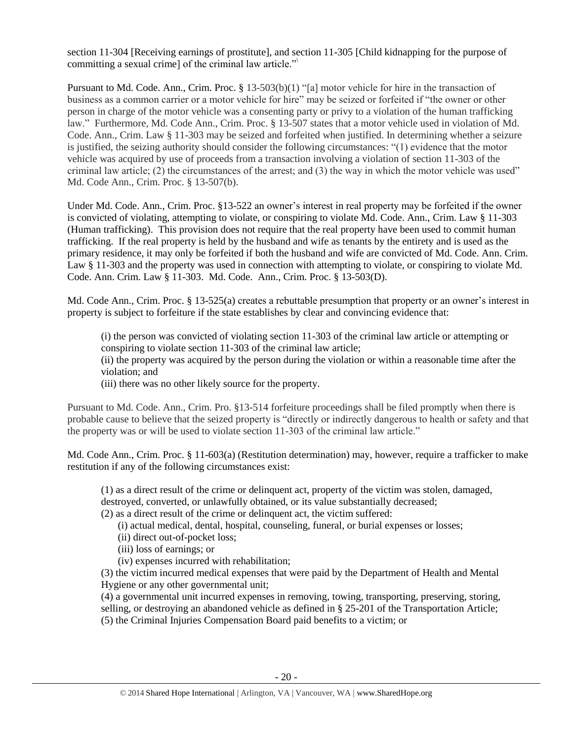section 11-304 [Receiving earnings of prostitute], and section 11-305 [Child kidnapping for the purpose of committing a sexual crime] of the criminal law article."\

Pursuant to Md. Code. Ann., Crim. Proc. § 13-503(b)(1) "[a] motor vehicle for hire in the transaction of business as a common carrier or a motor vehicle for hire" may be seized or forfeited if "the owner or other person in charge of the motor vehicle was a consenting party or privy to a violation of the human trafficking law." Furthermore, Md. Code Ann., Crim. Proc. § 13-507 states that a motor vehicle used in violation of Md. Code. Ann., Crim. Law § 11-303 may be seized and forfeited when justified. In determining whether a seizure is justified, the seizing authority should consider the following circumstances: "(1) evidence that the motor vehicle was acquired by use of proceeds from a transaction involving a violation of section 11-303 of the criminal law article; (2) the circumstances of the arrest; and (3) the way in which the motor vehicle was used" Md. Code Ann., Crim. Proc. § 13-507(b).

Under Md. Code. Ann., Crim. Proc. §13-522 an owner's interest in real property may be forfeited if the owner is convicted of violating, attempting to violate, or conspiring to violate Md. Code. Ann., Crim. Law § 11-303 (Human trafficking). This provision does not require that the real property have been used to commit human trafficking. If the real property is held by the husband and wife as tenants by the entirety and is used as the primary residence, it may only be forfeited if both the husband and wife are convicted of Md. Code. Ann. Crim. Law § 11-303 and the property was used in connection with attempting to violate, or conspiring to violate Md. Code. Ann. Crim. Law § 11-303. Md. Code. Ann., Crim. Proc. § 13-503(D).

Md. Code Ann., Crim. Proc. § 13-525(a) creates a rebuttable presumption that property or an owner's interest in property is subject to forfeiture if the state establishes by clear and convincing evidence that:

(i) the person was convicted of violating section 11-303 of the criminal law article or attempting or conspiring to violate section 11-303 of the criminal law article;

(ii) the property was acquired by the person during the violation or within a reasonable time after the violation; and

(iii) there was no other likely source for the property.

Pursuant to Md. Code. Ann., Crim. Pro. §13-514 forfeiture proceedings shall be filed promptly when there is probable cause to believe that the seized property is "directly or indirectly dangerous to health or safety and that the property was or will be used to violate section 11-303 of the criminal law article."

Md. Code Ann., Crim. Proc. § 11-603(a) (Restitution determination) may, however, require a trafficker to make restitution if any of the following circumstances exist:

(1) as a direct result of the crime or delinquent act, property of the victim was stolen, damaged, destroyed, converted, or unlawfully obtained, or its value substantially decreased;

(2) as a direct result of the crime or delinquent act, the victim suffered:

(i) actual medical, dental, hospital, counseling, funeral, or burial expenses or losses;

(ii) direct out-of-pocket loss;

(iii) loss of earnings; or

(iv) expenses incurred with rehabilitation;

(3) the victim incurred medical expenses that were paid by the Department of Health and Mental Hygiene or any other governmental unit;

(4) a governmental unit incurred expenses in removing, towing, transporting, preserving, storing, selling, or destroying an abandoned vehicle as defined in § 25-201 of the Transportation Article; (5) the Criminal Injuries Compensation Board paid benefits to a victim; or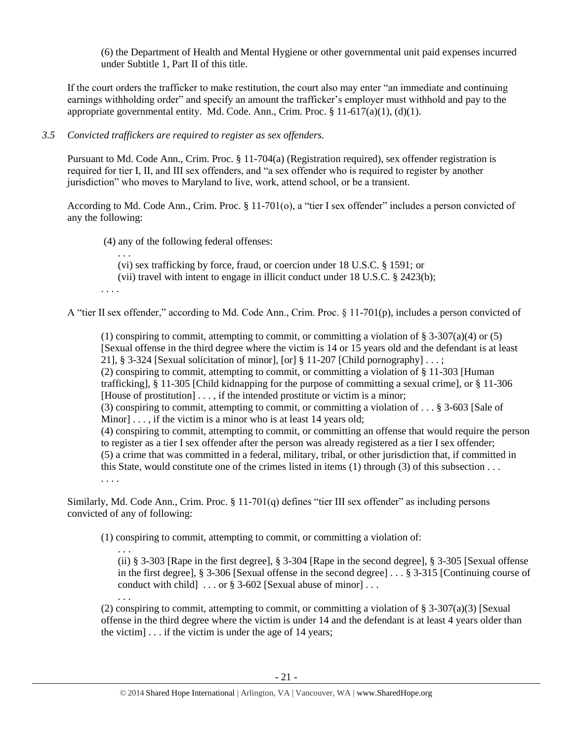(6) the Department of Health and Mental Hygiene or other governmental unit paid expenses incurred under Subtitle 1, Part II of this title.

If the court orders the trafficker to make restitution, the court also may enter "an immediate and continuing earnings withholding order" and specify an amount the trafficker's employer must withhold and pay to the appropriate governmental entity. Md. Code. Ann., Crim. Proc.  $\S 11-617(a)(1)$ , (d)(1).

# *3.5 Convicted traffickers are required to register as sex offenders.*

Pursuant to Md. Code Ann., Crim. Proc. § 11-704(a) (Registration required), sex offender registration is required for tier I, II, and III sex offenders, and "a sex offender who is required to register by another jurisdiction" who moves to Maryland to live, work, attend school, or be a transient.

According to Md. Code Ann., Crim. Proc. § 11-701(o), a "tier I sex offender" includes a person convicted of any the following:

(4) any of the following federal offenses:

. . . (vi) sex trafficking by force, fraud, or coercion under 18 U.S.C. § 1591; or

(vii) travel with intent to engage in illicit conduct under 18 U.S.C. § 2423(b);

. . . .

. . .

A "tier II sex offender," according to Md. Code Ann., Crim. Proc. § 11-701(p), includes a person convicted of

(1) conspiring to commit, attempting to commit, or committing a violation of  $\S 3-307(a)(4)$  or (5) [Sexual offense in the third degree where the victim is 14 or 15 years old and the defendant is at least 21], § 3-324 [Sexual solicitation of minor], [or] § 11-207 [Child pornography]  $\dots$ ; (2) conspiring to commit, attempting to commit, or committing a violation of § 11-303 [Human trafficking], § 11-305 [Child kidnapping for the purpose of committing a sexual crime], or § 11-306 [House of prostitution] . . . , if the intended prostitute or victim is a minor; (3) conspiring to commit, attempting to commit, or committing a violation of . . . § 3-603 [Sale of Minor]  $\ldots$ , if the victim is a minor who is at least 14 years old; (4) conspiring to commit, attempting to commit, or committing an offense that would require the person to register as a tier I sex offender after the person was already registered as a tier I sex offender; (5) a crime that was committed in a federal, military, tribal, or other jurisdiction that, if committed in this State, would constitute one of the crimes listed in items (1) through (3) of this subsection . . . . . . .

Similarly, Md. Code Ann., Crim. Proc. § 11-701(q) defines "tier III sex offender" as including persons convicted of any of following:

(1) conspiring to commit, attempting to commit, or committing a violation of:

. . . (ii) § 3-303 [Rape in the first degree], § 3-304 [Rape in the second degree], § 3-305 [Sexual offense in the first degree], § 3-306 [Sexual offense in the second degree] . . . § 3-315 [Continuing course of conduct with child  $\ldots$  or § 3-602 [Sexual abuse of minor]...

(2) conspiring to commit, attempting to commit, or committing a violation of  $\S$  3-307(a)(3) [Sexual offense in the third degree where the victim is under 14 and the defendant is at least 4 years older than the victim]  $\ldots$  if the victim is under the age of 14 years;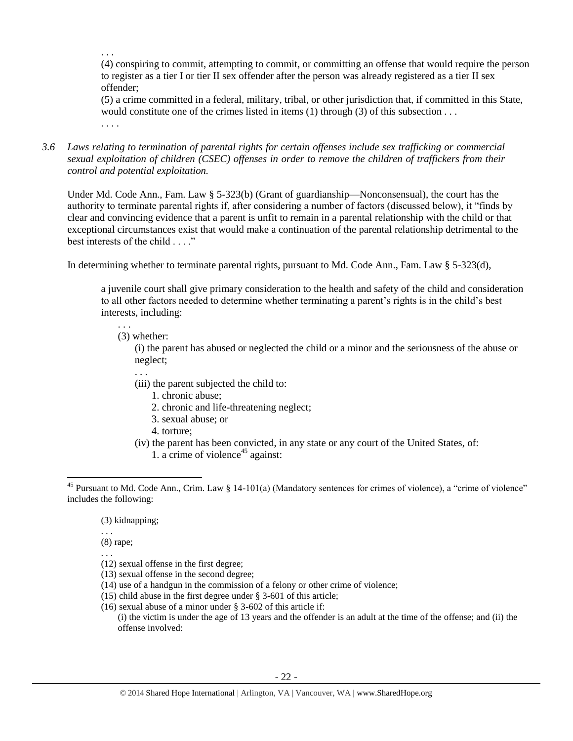. . .

(4) conspiring to commit, attempting to commit, or committing an offense that would require the person to register as a tier I or tier II sex offender after the person was already registered as a tier II sex offender;

(5) a crime committed in a federal, military, tribal, or other jurisdiction that, if committed in this State, would constitute one of the crimes listed in items (1) through (3) of this subsection . . . . . . .

*3.6 Laws relating to termination of parental rights for certain offenses include sex trafficking or commercial sexual exploitation of children (CSEC) offenses in order to remove the children of traffickers from their control and potential exploitation.* 

Under Md. Code Ann., Fam. Law § 5-323(b) (Grant of guardianship—Nonconsensual), the court has the authority to terminate parental rights if, after considering a number of factors (discussed below), it "finds by clear and convincing evidence that a parent is unfit to remain in a parental relationship with the child or that exceptional circumstances exist that would make a continuation of the parental relationship detrimental to the best interests of the child . . . ."

In determining whether to terminate parental rights, pursuant to Md. Code Ann., Fam. Law § 5-323(d),

a juvenile court shall give primary consideration to the health and safety of the child and consideration to all other factors needed to determine whether terminating a parent's rights is in the child's best interests, including:

. . . (3) whether:

. . .

(i) the parent has abused or neglected the child or a minor and the seriousness of the abuse or neglect;

- (iii) the parent subjected the child to:
	- 1. chronic abuse;
	- 2. chronic and life-threatening neglect;
	- 3. sexual abuse; or
- 4. torture;
- (iv) the parent has been convicted, in any state or any court of the United States, of:
	- 1. a crime of violence<sup>45</sup> against:

- (3) kidnapping;
- . . .

. . .

 $\overline{a}$ 

- (8) rape;
- (12) sexual offense in the first degree;
- (13) sexual offense in the second degree;
- (14) use of a handgun in the commission of a felony or other crime of violence;
- (15) child abuse in the first degree under § 3-601 of this article;
- (16) sexual abuse of a minor under § 3-602 of this article if:

(i) the victim is under the age of 13 years and the offender is an adult at the time of the offense; and (ii) the offense involved:

 $45$  Pursuant to Md. Code Ann., Crim. Law § 14-101(a) (Mandatory sentences for crimes of violence), a "crime of violence" includes the following: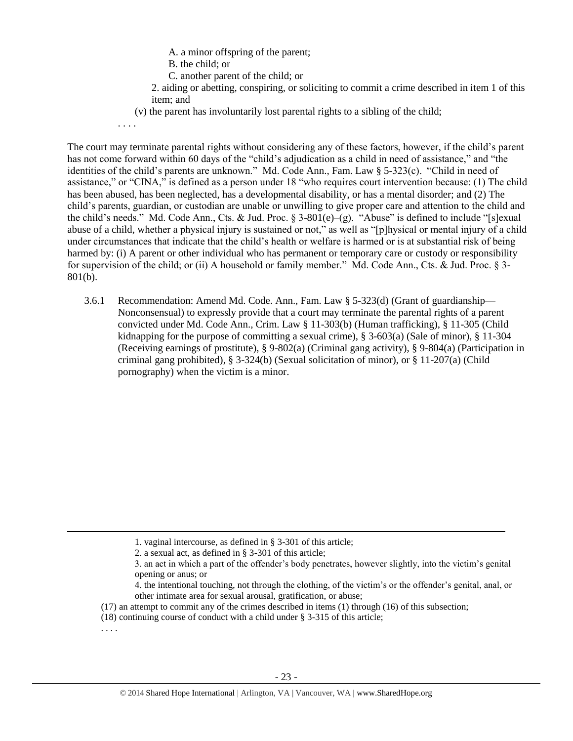- A. a minor offspring of the parent;
- B. the child; or
- C. another parent of the child; or
- 2. aiding or abetting, conspiring, or soliciting to commit a crime described in item 1 of this item; and
- (v) the parent has involuntarily lost parental rights to a sibling of the child;

. . . .

The court may terminate parental rights without considering any of these factors, however, if the child's parent has not come forward within 60 days of the "child's adjudication as a child in need of assistance," and "the identities of the child's parents are unknown." Md. Code Ann., Fam. Law § 5-323(c). "Child in need of assistance," or "CINA," is defined as a person under 18 "who requires court intervention because: (1) The child has been abused, has been neglected, has a developmental disability, or has a mental disorder; and (2) The child's parents, guardian, or custodian are unable or unwilling to give proper care and attention to the child and the child's needs." Md. Code Ann., Cts. & Jud. Proc. § 3-801(e)–(g). "Abuse" is defined to include "[s]exual abuse of a child, whether a physical injury is sustained or not," as well as "[p]hysical or mental injury of a child under circumstances that indicate that the child's health or welfare is harmed or is at substantial risk of being harmed by: (i) A parent or other individual who has permanent or temporary care or custody or responsibility for supervision of the child; or (ii) A household or family member." Md. Code Ann., Cts. & Jud. Proc. § 3- 801(b).

3.6.1 Recommendation: Amend Md. Code. Ann., Fam. Law § 5-323(d) (Grant of guardianship— Nonconsensual) to expressly provide that a court may terminate the parental rights of a parent convicted under Md. Code Ann., Crim. Law § 11-303(b) (Human trafficking), § 11-305 (Child kidnapping for the purpose of committing a sexual crime),  $\S$  3-603(a) (Sale of minor),  $\S$  11-304 (Receiving earnings of prostitute), § 9-802(a) (Criminal gang activity), § 9-804(a) (Participation in criminal gang prohibited), § 3-324(b) (Sexual solicitation of minor), or § 11-207(a) (Child pornography) when the victim is a minor.

 $\overline{\phantom{a}}$ 

<sup>1.</sup> vaginal intercourse, as defined in § 3-301 of this article;

<sup>2.</sup> a sexual act, as defined in § 3-301 of this article;

<sup>3.</sup> an act in which a part of the offender's body penetrates, however slightly, into the victim's genital opening or anus; or

<sup>4.</sup> the intentional touching, not through the clothing, of the victim's or the offender's genital, anal, or other intimate area for sexual arousal, gratification, or abuse;

<sup>(17)</sup> an attempt to commit any of the crimes described in items (1) through (16) of this subsection;

<sup>(18)</sup> continuing course of conduct with a child under § 3-315 of this article;

<sup>. . . .</sup>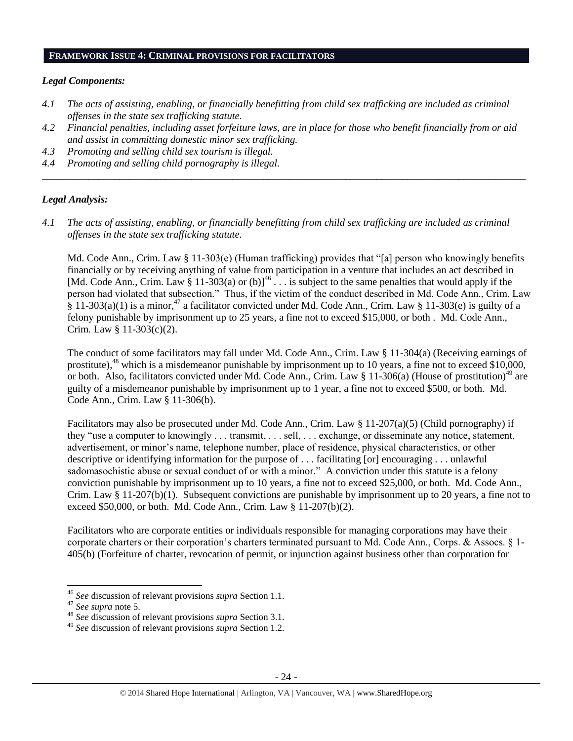#### **FRAMEWORK ISSUE 4: CRIMINAL PROVISIONS FOR FACILITATORS**

#### *Legal Components:*

- *4.1 The acts of assisting, enabling, or financially benefitting from child sex trafficking are included as criminal offenses in the state sex trafficking statute.*
- *4.2 Financial penalties, including asset forfeiture laws, are in place for those who benefit financially from or aid and assist in committing domestic minor sex trafficking.*

*\_\_\_\_\_\_\_\_\_\_\_\_\_\_\_\_\_\_\_\_\_\_\_\_\_\_\_\_\_\_\_\_\_\_\_\_\_\_\_\_\_\_\_\_\_\_\_\_\_\_\_\_\_\_\_\_\_\_\_\_\_\_\_\_\_\_\_\_\_\_\_\_\_\_\_\_\_\_\_\_\_\_\_\_\_\_\_\_\_\_\_\_\_\_*

- *4.3 Promoting and selling child sex tourism is illegal.*
- *4.4 Promoting and selling child pornography is illegal.*

#### *Legal Analysis:*

*4.1 The acts of assisting, enabling, or financially benefitting from child sex trafficking are included as criminal offenses in the state sex trafficking statute.*

Md. Code Ann., Crim. Law § 11-303(e) (Human trafficking) provides that "[a] person who knowingly benefits financially or by receiving anything of value from participation in a venture that includes an act described in [Md. Code Ann., Crim. Law  $\S 11-303(a)$  or (b)]<sup>46</sup>  $\ldots$  is subject to the same penalties that would apply if the person had violated that subsection." Thus, if the victim of the conduct described in Md. Code Ann., Crim. Law  $\hat{\S}$  11-303(a)(1) is a minor,<sup>47</sup> a facilitator convicted under Md. Code Ann., Crim. Law  $\S$  11-303(e) is guilty of a felony punishable by imprisonment up to 25 years, a fine not to exceed \$15,000, or both . Md. Code Ann., Crim. Law § 11-303(c)(2).

The conduct of some facilitators may fall under Md. Code Ann., Crim. Law § 11-304(a) (Receiving earnings of prostitute),<sup>48</sup> which is a misdemeanor punishable by imprisonment up to 10 years, a fine not to exceed \$10,000, or both. Also, facilitators convicted under Md. Code Ann., Crim. Law § 11-306(a) (House of prostitution)<sup>49</sup> are guilty of a misdemeanor punishable by imprisonment up to 1 year, a fine not to exceed \$500, or both. Md. Code Ann., Crim. Law § 11-306(b).

Facilitators may also be prosecuted under Md. Code Ann., Crim. Law § 11-207(a)(5) (Child pornography) if they "use a computer to knowingly . . . transmit, . . . sell, . . . exchange, or disseminate any notice, statement, advertisement, or minor's name, telephone number, place of residence, physical characteristics, or other descriptive or identifying information for the purpose of . . . facilitating [or] encouraging . . . unlawful sadomasochistic abuse or sexual conduct of or with a minor." A conviction under this statute is a felony conviction punishable by imprisonment up to 10 years, a fine not to exceed \$25,000, or both. Md. Code Ann., Crim. Law  $\S 11-207(b)(1)$ . Subsequent convictions are punishable by imprisonment up to 20 years, a fine not to exceed \$50,000, or both. Md. Code Ann., Crim. Law § 11-207(b)(2).

Facilitators who are corporate entities or individuals responsible for managing corporations may have their corporate charters or their corporation's charters terminated pursuant to Md. Code Ann., Corps. & Assocs. § 1- 405(b) (Forfeiture of charter, revocation of permit, or injunction against business other than corporation for

 $\overline{a}$ 

<sup>46</sup> *See* discussion of relevant provisions *supra* Section 1.1.

<sup>47</sup> *See supra* note [5.](#page-1-2)

<sup>48</sup> *See* discussion of relevant provisions *supra* Section 3.1.

<sup>49</sup> *See* discussion of relevant provisions *supra* Section 1.2.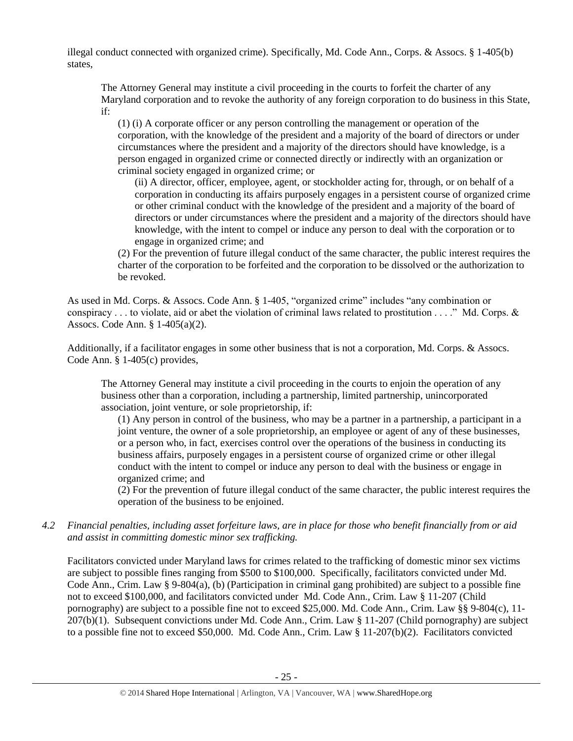illegal conduct connected with organized crime). Specifically, Md. Code Ann., Corps. & Assocs. § 1-405(b) states,

The Attorney General may institute a civil proceeding in the courts to forfeit the charter of any Maryland corporation and to revoke the authority of any foreign corporation to do business in this State, if:

(1) (i) A corporate officer or any person controlling the management or operation of the corporation, with the knowledge of the president and a majority of the board of directors or under circumstances where the president and a majority of the directors should have knowledge, is a person engaged in organized crime or connected directly or indirectly with an organization or criminal society engaged in organized crime; or

(ii) A director, officer, employee, agent, or stockholder acting for, through, or on behalf of a corporation in conducting its affairs purposely engages in a persistent course of organized crime or other criminal conduct with the knowledge of the president and a majority of the board of directors or under circumstances where the president and a majority of the directors should have knowledge, with the intent to compel or induce any person to deal with the corporation or to engage in organized crime; and

(2) For the prevention of future illegal conduct of the same character, the public interest requires the charter of the corporation to be forfeited and the corporation to be dissolved or the authorization to be revoked.

As used in Md. Corps. & Assocs. Code Ann. § 1-405, "organized crime" includes "any combination or conspiracy . . . to violate, aid or abet the violation of criminal laws related to prostitution . . . ." Md. Corps. & Assocs. Code Ann. § 1-405(a)(2).

Additionally, if a facilitator engages in some other business that is not a corporation, Md. Corps. & Assocs. Code Ann. § 1-405(c) provides,

The Attorney General may institute a civil proceeding in the courts to enjoin the operation of any business other than a corporation, including a partnership, limited partnership, unincorporated association, joint venture, or sole proprietorship, if:

(1) Any person in control of the business, who may be a partner in a partnership, a participant in a joint venture, the owner of a sole proprietorship, an employee or agent of any of these businesses, or a person who, in fact, exercises control over the operations of the business in conducting its business affairs, purposely engages in a persistent course of organized crime or other illegal conduct with the intent to compel or induce any person to deal with the business or engage in organized crime; and

(2) For the prevention of future illegal conduct of the same character, the public interest requires the operation of the business to be enjoined.

*4.2 Financial penalties, including asset forfeiture laws, are in place for those who benefit financially from or aid and assist in committing domestic minor sex trafficking.*

Facilitators convicted under Maryland laws for crimes related to the trafficking of domestic minor sex victims are subject to possible fines ranging from \$500 to \$100,000. Specifically, facilitators convicted under Md. Code Ann., Crim. Law § 9-804(a), (b) (Participation in criminal gang prohibited) are subject to a possible fine not to exceed \$100,000, and facilitators convicted under Md. Code Ann., Crim. Law § 11-207 (Child pornography) are subject to a possible fine not to exceed \$25,000. Md. Code Ann., Crim. Law §§ 9-804(c), 11- 207(b)(1). Subsequent convictions under Md. Code Ann., Crim. Law § 11-207 (Child pornography) are subject to a possible fine not to exceed \$50,000. Md. Code Ann., Crim. Law § 11-207(b)(2). Facilitators convicted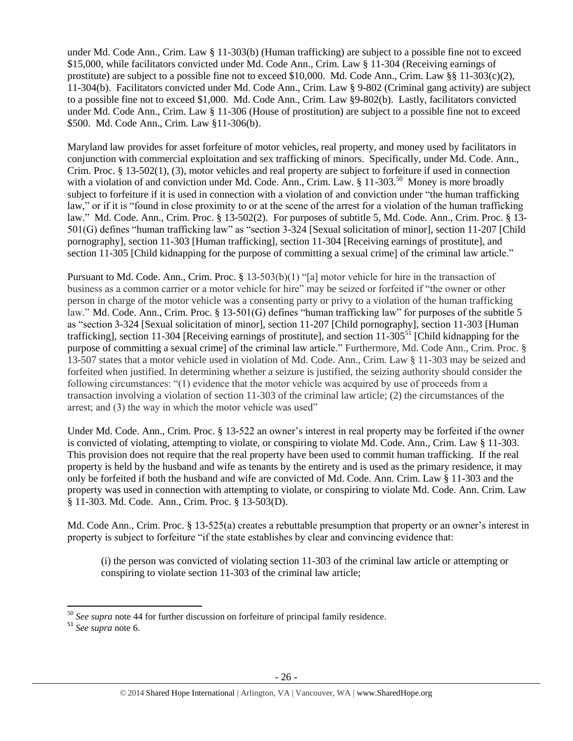under Md. Code Ann., Crim. Law § 11-303(b) (Human trafficking) are subject to a possible fine not to exceed \$15,000, while facilitators convicted under Md. Code Ann., Crim. Law § 11-304 (Receiving earnings of prostitute) are subject to a possible fine not to exceed \$10,000. Md. Code Ann., Crim. Law  $\S$  11-303(c)(2), 11-304(b). Facilitators convicted under Md. Code Ann., Crim. Law § 9-802 (Criminal gang activity) are subject to a possible fine not to exceed \$1,000. Md. Code Ann., Crim. Law §9-802(b). Lastly, facilitators convicted under Md. Code Ann., Crim. Law § 11-306 (House of prostitution) are subject to a possible fine not to exceed \$500. Md. Code Ann., Crim. Law §11-306(b).

Maryland law provides for asset forfeiture of motor vehicles, real property, and money used by facilitators in conjunction with commercial exploitation and sex trafficking of minors. Specifically, under Md. Code. Ann., Crim. Proc. § 13-502(1), (3), motor vehicles and real property are subject to forfeiture if used in connection with a violation of and conviction under Md. Code. Ann., Crim. Law. § 11-303.<sup>50</sup> Money is more broadly subject to forfeiture if it is used in connection with a violation of and conviction under "the human trafficking law," or if it is "found in close proximity to or at the scene of the arrest for a violation of the human trafficking law." Md. Code. Ann., Crim. Proc. § 13-502(2). For purposes of subtitle 5, Md. Code. Ann., Crim. Proc. § 13- 501(G) defines "human trafficking law" as "section 3-324 [Sexual solicitation of minor], section 11-207 [Child pornography], section 11-303 [Human trafficking], section 11-304 [Receiving earnings of prostitute], and section 11-305 [Child kidnapping for the purpose of committing a sexual crime] of the criminal law article."

Pursuant to Md. Code. Ann., Crim. Proc. § 13-503(b)(1) "[a] motor vehicle for hire in the transaction of business as a common carrier or a motor vehicle for hire" may be seized or forfeited if "the owner or other person in charge of the motor vehicle was a consenting party or privy to a violation of the human trafficking law." Md. Code. Ann., Crim. Proc. § 13-501(G) defines "human trafficking law" for purposes of the subtitle 5 as "section 3-324 [Sexual solicitation of minor], section 11-207 [Child pornography], section 11-303 [Human trafficking], section 11-304 [Receiving earnings of prostitute], and section  $11$ -305<sup>51</sup> [Child kidnapping for the purpose of committing a sexual crime] of the criminal law article." Furthermore, Md. Code Ann., Crim. Proc. § 13-507 states that a motor vehicle used in violation of Md. Code. Ann., Crim. Law § 11-303 may be seized and forfeited when justified. In determining whether a seizure is justified, the seizing authority should consider the following circumstances: "(1) evidence that the motor vehicle was acquired by use of proceeds from a transaction involving a violation of section 11-303 of the criminal law article; (2) the circumstances of the arrest; and (3) the way in which the motor vehicle was used"

Under Md. Code. Ann., Crim. Proc. § 13-522 an owner's interest in real property may be forfeited if the owner is convicted of violating, attempting to violate, or conspiring to violate Md. Code. Ann., Crim. Law § 11-303. This provision does not require that the real property have been used to commit human trafficking. If the real property is held by the husband and wife as tenants by the entirety and is used as the primary residence, it may only be forfeited if both the husband and wife are convicted of Md. Code. Ann. Crim. Law § 11-303 and the property was used in connection with attempting to violate, or conspiring to violate Md. Code. Ann. Crim. Law § 11-303. Md. Code. Ann., Crim. Proc. § 13-503(D).

Md. Code Ann., Crim. Proc. § 13-525(a) creates a rebuttable presumption that property or an owner's interest in property is subject to forfeiture "if the state establishes by clear and convincing evidence that:

(i) the person was convicted of violating section 11-303 of the criminal law article or attempting or conspiring to violate section 11-303 of the criminal law article;

l <sup>50</sup> *See supra* note [44](#page-18-0) for further discussion on forfeiture of principal family residence.

<sup>51</sup> *See supra* note [6.](#page-1-1)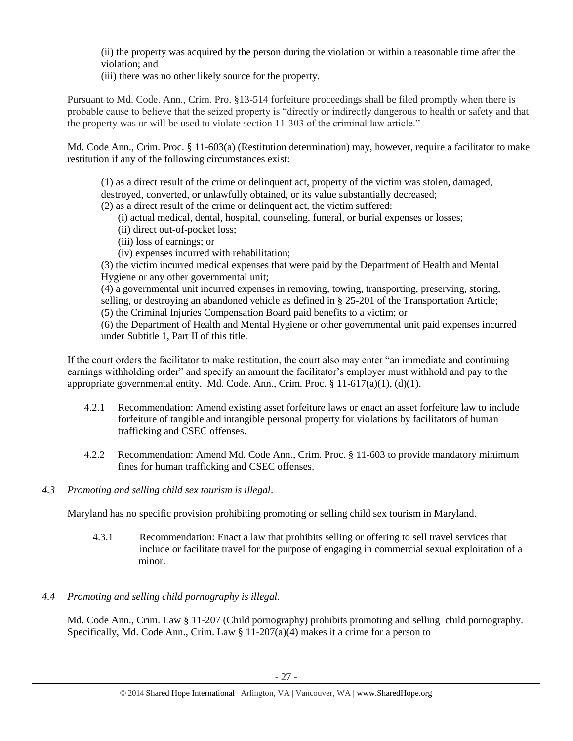(ii) the property was acquired by the person during the violation or within a reasonable time after the violation; and

(iii) there was no other likely source for the property.

Pursuant to Md. Code. Ann., Crim. Pro. §13-514 forfeiture proceedings shall be filed promptly when there is probable cause to believe that the seized property is "directly or indirectly dangerous to health or safety and that the property was or will be used to violate section 11-303 of the criminal law article."

Md. Code Ann., Crim. Proc. § 11-603(a) (Restitution determination) may, however, require a facilitator to make restitution if any of the following circumstances exist:

(1) as a direct result of the crime or delinquent act, property of the victim was stolen, damaged, destroyed, converted, or unlawfully obtained, or its value substantially decreased;

- (2) as a direct result of the crime or delinquent act, the victim suffered:
	- (i) actual medical, dental, hospital, counseling, funeral, or burial expenses or losses;
	- (ii) direct out-of-pocket loss;
	- (iii) loss of earnings; or
	- (iv) expenses incurred with rehabilitation;

(3) the victim incurred medical expenses that were paid by the Department of Health and Mental Hygiene or any other governmental unit;

(4) a governmental unit incurred expenses in removing, towing, transporting, preserving, storing, selling, or destroying an abandoned vehicle as defined in § 25-201 of the Transportation Article;

(5) the Criminal Injuries Compensation Board paid benefits to a victim; or

(6) the Department of Health and Mental Hygiene or other governmental unit paid expenses incurred under Subtitle 1, Part II of this title.

If the court orders the facilitator to make restitution, the court also may enter "an immediate and continuing earnings withholding order" and specify an amount the facilitator's employer must withhold and pay to the appropriate governmental entity. Md. Code. Ann., Crim. Proc.  $\S 11-617(a)(1)$ , (d)(1).

- 4.2.1 Recommendation: Amend existing asset forfeiture laws or enact an asset forfeiture law to include forfeiture of tangible and intangible personal property for violations by facilitators of human trafficking and CSEC offenses.
- 4.2.2 Recommendation: Amend Md. Code Ann., Crim. Proc. § 11-603 to provide mandatory minimum fines for human trafficking and CSEC offenses.
- *4.3 Promoting and selling child sex tourism is illegal*.

Maryland has no specific provision prohibiting promoting or selling child sex tourism in Maryland.

- 4.3.1 Recommendation: Enact a law that prohibits selling or offering to sell travel services that include or facilitate travel for the purpose of engaging in commercial sexual exploitation of a minor.
- *4.4 Promoting and selling child pornography is illegal.*

Md. Code Ann., Crim. Law § 11-207 (Child pornography) prohibits promoting and selling child pornography. Specifically, Md. Code Ann., Crim. Law  $\S 11{\text -}207(a)(4)$  makes it a crime for a person to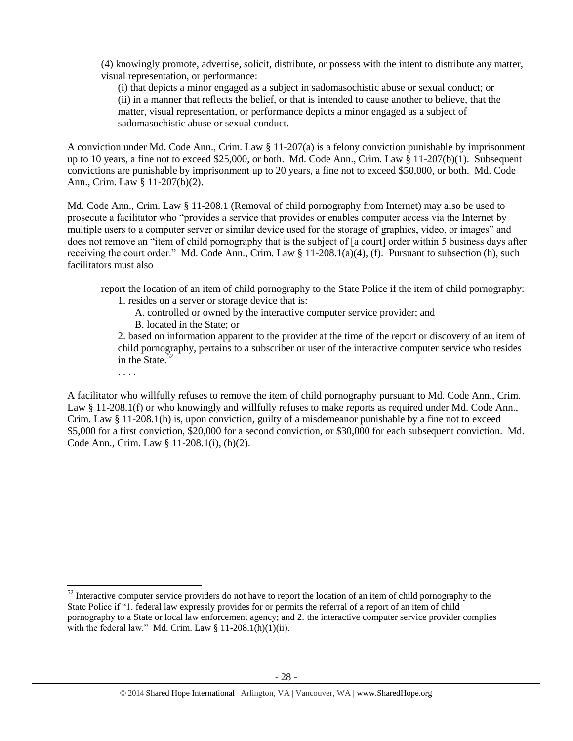(4) knowingly promote, advertise, solicit, distribute, or possess with the intent to distribute any matter, visual representation, or performance:

(i) that depicts a minor engaged as a subject in sadomasochistic abuse or sexual conduct; or (ii) in a manner that reflects the belief, or that is intended to cause another to believe, that the matter, visual representation, or performance depicts a minor engaged as a subject of sadomasochistic abuse or sexual conduct.

A conviction under Md. Code Ann., Crim. Law § 11-207(a) is a felony conviction punishable by imprisonment up to 10 years, a fine not to exceed \$25,000, or both. Md. Code Ann., Crim. Law § 11-207(b)(1). Subsequent convictions are punishable by imprisonment up to 20 years, a fine not to exceed \$50,000, or both. Md. Code Ann., Crim. Law § 11-207(b)(2).

Md. Code Ann., Crim. Law § 11-208.1 (Removal of child pornography from Internet) may also be used to prosecute a facilitator who "provides a service that provides or enables computer access via the Internet by multiple users to a computer server or similar device used for the storage of graphics, video, or images" and does not remove an "item of child pornography that is the subject of [a court] order within 5 business days after receiving the court order." Md. Code Ann., Crim. Law  $\S 11-208.1(a)(4)$ , (f). Pursuant to subsection (h), such facilitators must also

report the location of an item of child pornography to the State Police if the item of child pornography:

- 1. resides on a server or storage device that is:
	- A. controlled or owned by the interactive computer service provider; and B. located in the State; or

2. based on information apparent to the provider at the time of the report or discovery of an item of child pornography, pertains to a subscriber or user of the interactive computer service who resides in the State. $52$ 

. . . .

 $\overline{a}$ 

A facilitator who willfully refuses to remove the item of child pornography pursuant to Md. Code Ann., Crim. Law § 11-208.1(f) or who knowingly and willfully refuses to make reports as required under Md. Code Ann., Crim. Law § 11-208.1(h) is, upon conviction, guilty of a misdemeanor punishable by a fine not to exceed \$5,000 for a first conviction, \$20,000 for a second conviction, or \$30,000 for each subsequent conviction. Md. Code Ann., Crim. Law § 11-208.1(i), (h)(2).

 $52$  Interactive computer service providers do not have to report the location of an item of child pornography to the State Police if "1. federal law expressly provides for or permits the referral of a report of an item of child pornography to a State or local law enforcement agency; and 2. the interactive computer service provider complies with the federal law." Md. Crim. Law  $\S 11-208.1(h)(1)(ii)$ .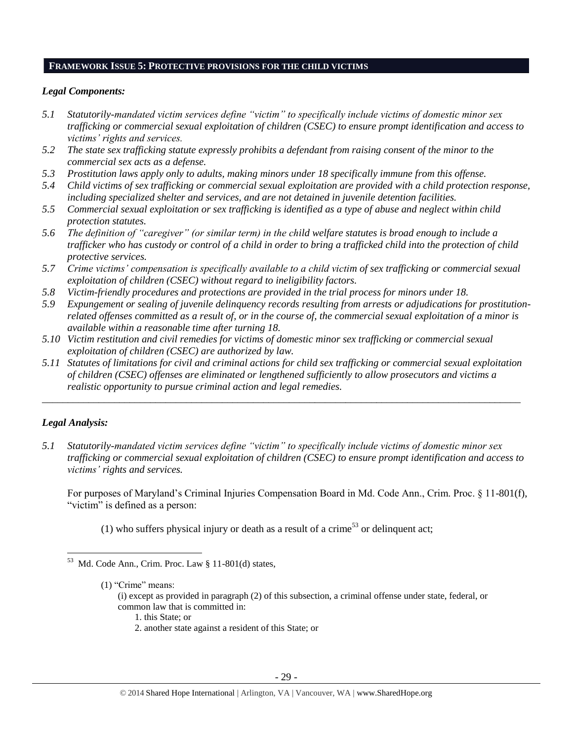# **FRAMEWORK ISSUE 5: PROTECTIVE PROVISIONS FOR THE CHILD VICTIMS**

## *Legal Components:*

- *5.1 Statutorily-mandated victim services define "victim" to specifically include victims of domestic minor sex trafficking or commercial sexual exploitation of children (CSEC) to ensure prompt identification and access to victims' rights and services.*
- *5.2 The state sex trafficking statute expressly prohibits a defendant from raising consent of the minor to the commercial sex acts as a defense.*
- *5.3 Prostitution laws apply only to adults, making minors under 18 specifically immune from this offense.*
- *5.4 Child victims of sex trafficking or commercial sexual exploitation are provided with a child protection response, including specialized shelter and services, and are not detained in juvenile detention facilities.*
- *5.5 Commercial sexual exploitation or sex trafficking is identified as a type of abuse and neglect within child protection statutes.*
- *5.6 The definition of "caregiver" (or similar term) in the child welfare statutes is broad enough to include a trafficker who has custody or control of a child in order to bring a trafficked child into the protection of child protective services.*
- *5.7 Crime victims' compensation is specifically available to a child victim of sex trafficking or commercial sexual exploitation of children (CSEC) without regard to ineligibility factors.*
- *5.8 Victim-friendly procedures and protections are provided in the trial process for minors under 18.*
- *5.9 Expungement or sealing of juvenile delinquency records resulting from arrests or adjudications for prostitutionrelated offenses committed as a result of, or in the course of, the commercial sexual exploitation of a minor is available within a reasonable time after turning 18.*
- *5.10 Victim restitution and civil remedies for victims of domestic minor sex trafficking or commercial sexual exploitation of children (CSEC) are authorized by law.*
- *5.11 Statutes of limitations for civil and criminal actions for child sex trafficking or commercial sexual exploitation of children (CSEC) offenses are eliminated or lengthened sufficiently to allow prosecutors and victims a realistic opportunity to pursue criminal action and legal remedies.*

*\_\_\_\_\_\_\_\_\_\_\_\_\_\_\_\_\_\_\_\_\_\_\_\_\_\_\_\_\_\_\_\_\_\_\_\_\_\_\_\_\_\_\_\_\_\_\_\_\_\_\_\_\_\_\_\_\_\_\_\_\_\_\_\_\_\_\_\_\_\_\_\_\_\_\_\_\_\_\_\_\_\_\_\_\_\_\_\_\_\_\_\_\_*

# *Legal Analysis:*

*5.1 Statutorily-mandated victim services define "victim" to specifically include victims of domestic minor sex trafficking or commercial sexual exploitation of children (CSEC) to ensure prompt identification and access to victims' rights and services.*

For purposes of Maryland's Criminal Injuries Compensation Board in Md. Code Ann., Crim. Proc. § 11-801(f), "victim" is defined as a person:

(1) who suffers physical injury or death as a result of a crime<sup>53</sup> or delinquent act;

- (1) "Crime" means:
	- (i) except as provided in paragraph (2) of this subsection, a criminal offense under state, federal, or common law that is committed in:
		- 1. this State; or
		- 2. another state against a resident of this State; or

 $\overline{\phantom{a}}$  $53$  Md. Code Ann., Crim. Proc. Law  $\S 11-801$ (d) states,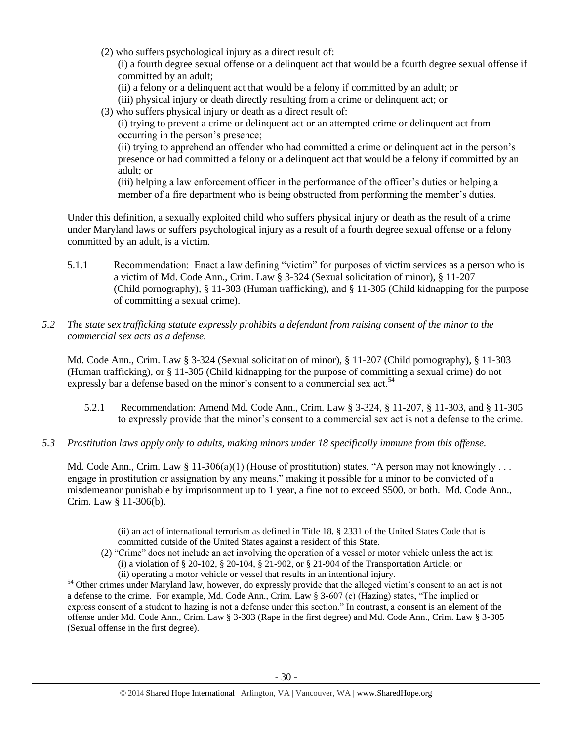(2) who suffers psychological injury as a direct result of:

(i) a fourth degree sexual offense or a delinquent act that would be a fourth degree sexual offense if committed by an adult;

- (ii) a felony or a delinquent act that would be a felony if committed by an adult; or
- (iii) physical injury or death directly resulting from a crime or delinquent act; or
- (3) who suffers physical injury or death as a direct result of:

(i) trying to prevent a crime or delinquent act or an attempted crime or delinquent act from occurring in the person's presence;

(ii) trying to apprehend an offender who had committed a crime or delinquent act in the person's presence or had committed a felony or a delinquent act that would be a felony if committed by an adult; or

(iii) helping a law enforcement officer in the performance of the officer's duties or helping a member of a fire department who is being obstructed from performing the member's duties.

Under this definition, a sexually exploited child who suffers physical injury or death as the result of a crime under Maryland laws or suffers psychological injury as a result of a fourth degree sexual offense or a felony committed by an adult, is a victim.

- 5.1.1 Recommendation: Enact a law defining "victim" for purposes of victim services as a person who is a victim of Md. Code Ann., Crim. Law § 3-324 (Sexual solicitation of minor), § 11-207 (Child pornography), § 11-303 (Human trafficking), and § 11-305 (Child kidnapping for the purpose of committing a sexual crime).
- *5.2 The state sex trafficking statute expressly prohibits a defendant from raising consent of the minor to the commercial sex acts as a defense.*

Md. Code Ann., Crim. Law § 3-324 (Sexual solicitation of minor), § 11-207 (Child pornography), § 11-303 (Human trafficking), or § 11-305 (Child kidnapping for the purpose of committing a sexual crime) do not expressly bar a defense based on the minor's consent to a commercial sex act.<sup>54</sup>

- 5.2.1 Recommendation: Amend Md. Code Ann., Crim. Law § 3-324, § 11-207, § 11-303, and § 11-305 to expressly provide that the minor's consent to a commercial sex act is not a defense to the crime.
- *5.3 Prostitution laws apply only to adults, making minors under 18 specifically immune from this offense.*

 $\overline{a}$ 

Md. Code Ann., Crim. Law  $\S 11-306(a)(1)$  (House of prostitution) states, "A person may not knowingly ... engage in prostitution or assignation by any means," making it possible for a minor to be convicted of a misdemeanor punishable by imprisonment up to 1 year, a fine not to exceed \$500, or both. Md. Code Ann., Crim. Law § 11-306(b).

<sup>(</sup>ii) an act of international terrorism as defined in Title 18, § 2331 of the United States Code that is committed outside of the United States against a resident of this State.

<sup>(2)</sup> "Crime" does not include an act involving the operation of a vessel or motor vehicle unless the act is: (i) a violation of § 20-102, § 20-104, § 21-902, or § 21-904 of the Transportation Article; or (ii) operating a motor vehicle or vessel that results in an intentional injury.

<sup>&</sup>lt;sup>54</sup> Other crimes under Maryland law, however, do expressly provide that the alleged victim's consent to an act is not a defense to the crime. For example, Md. Code Ann., Crim. Law § 3-607 (c) (Hazing) states, "The implied or express consent of a student to hazing is not a defense under this section." In contrast, a consent is an element of the offense under Md. Code Ann., Crim. Law § 3-303 (Rape in the first degree) and Md. Code Ann., Crim. Law § 3-305 (Sexual offense in the first degree).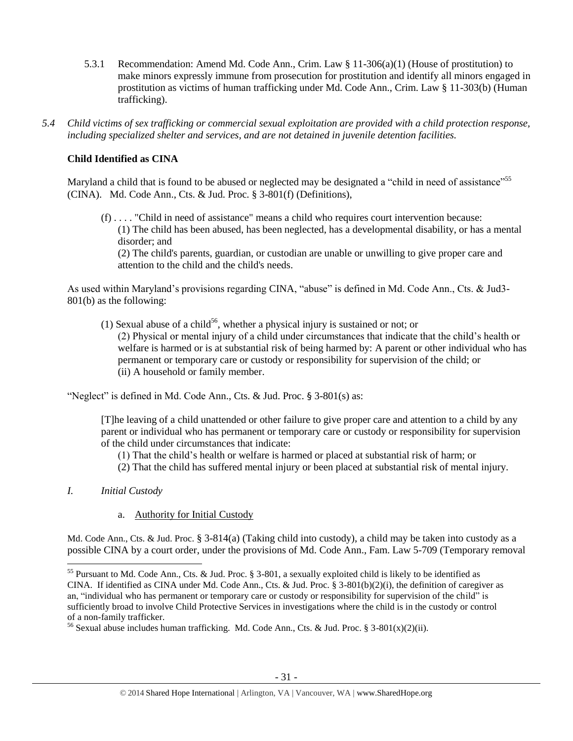- 5.3.1 Recommendation: Amend Md. Code Ann., Crim. Law § 11-306(a)(1) (House of prostitution) to make minors expressly immune from prosecution for prostitution and identify all minors engaged in prostitution as victims of human trafficking under Md. Code Ann., Crim. Law § 11-303(b) (Human trafficking).
- *5.4 Child victims of sex trafficking or commercial sexual exploitation are provided with a child protection response, including specialized shelter and services, and are not detained in juvenile detention facilities.*

# **Child Identified as CINA**

Maryland a child that is found to be abused or neglected may be designated a "child in need of assistance"<sup>55</sup> (CINA). Md. Code Ann., Cts. & Jud. Proc. § 3-801(f) (Definitions),

(f) . . . . "Child in need of assistance" means a child who requires court intervention because: (1) The child has been abused, has been neglected, has a developmental disability, or has a mental disorder; and

(2) The child's parents, guardian, or custodian are unable or unwilling to give proper care and attention to the child and the child's needs.

As used within Maryland's provisions regarding CINA, "abuse" is defined in Md. Code Ann., Cts. & Jud3- 801(b) as the following:

(1) Sexual abuse of a child<sup>56</sup>, whether a physical injury is sustained or not; or (2) Physical or mental injury of a child under circumstances that indicate that the child's health or welfare is harmed or is at substantial risk of being harmed by: A parent or other individual who has permanent or temporary care or custody or responsibility for supervision of the child; or (ii) A household or family member.

"Neglect" is defined in Md. Code Ann., Cts. & Jud. Proc. § 3-801(s) as:

[T]he leaving of a child unattended or other failure to give proper care and attention to a child by any parent or individual who has permanent or temporary care or custody or responsibility for supervision of the child under circumstances that indicate:

(1) That the child's health or welfare is harmed or placed at substantial risk of harm; or

- (2) That the child has suffered mental injury or been placed at substantial risk of mental injury.
- *I. Initial Custody*

 $\overline{\phantom{a}}$ 

a. Authority for Initial Custody

Md. Code Ann., Cts. & Jud. Proc. § 3-814(a) (Taking child into custody), a child may be taken into custody as a possible CINA by a court order, under the provisions of Md. Code Ann., Fam. Law 5-709 (Temporary removal

<sup>&</sup>lt;sup>55</sup> Pursuant to Md. Code Ann., Cts. & Jud. Proc. § 3-801, a sexually exploited child is likely to be identified as CINA. If identified as CINA under Md. Code Ann., Cts. & Jud. Proc. § 3-801(b)(2)(i), the definition of caregiver as an, "individual who has permanent or temporary care or custody or responsibility for supervision of the child" is sufficiently broad to involve Child Protective Services in investigations where the child is in the custody or control of a non-family trafficker.

<sup>&</sup>lt;sup>56</sup> Sexual abuse includes human trafficking. Md. Code Ann., Cts. & Jud. Proc. § 3-801(x)(2)(ii).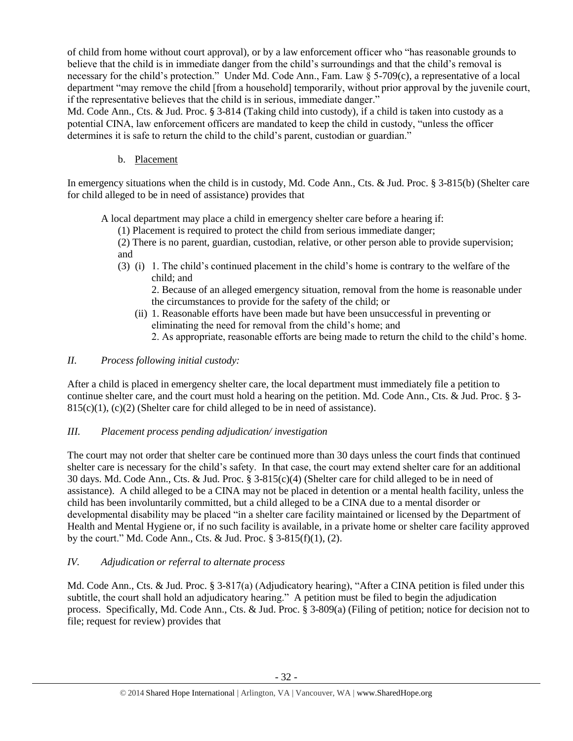of child from home without court approval), or by a law enforcement officer who "has reasonable grounds to believe that the child is in immediate danger from the child's surroundings and that the child's removal is necessary for the child's protection." Under Md. Code Ann., Fam. Law § 5-709(c), a representative of a local department "may remove the child [from a household] temporarily, without prior approval by the juvenile court, if the representative believes that the child is in serious, immediate danger."

Md. Code Ann., Cts. & Jud. Proc. § 3-814 (Taking child into custody), if a child is taken into custody as a potential CINA, law enforcement officers are mandated to keep the child in custody, "unless the officer determines it is safe to return the child to the child's parent, custodian or guardian."

b. Placement

In emergency situations when the child is in custody, Md. Code Ann., Cts. & Jud. Proc. § 3-815(b) (Shelter care for child alleged to be in need of assistance) provides that

A local department may place a child in emergency shelter care before a hearing if:

(1) Placement is required to protect the child from serious immediate danger;

(2) There is no parent, guardian, custodian, relative, or other person able to provide supervision; and

(3) (i) 1. The child's continued placement in the child's home is contrary to the welfare of the child; and

2. Because of an alleged emergency situation, removal from the home is reasonable under the circumstances to provide for the safety of the child; or

- (ii) 1. Reasonable efforts have been made but have been unsuccessful in preventing or eliminating the need for removal from the child's home; and
	- 2. As appropriate, reasonable efforts are being made to return the child to the child's home.
- *II. Process following initial custody:*

After a child is placed in emergency shelter care, the local department must immediately file a petition to continue shelter care, and the court must hold a hearing on the petition. Md. Code Ann., Cts. & Jud. Proc. § 3-  $815(c)(1)$ , (c)(2) (Shelter care for child alleged to be in need of assistance).

# *III. Placement process pending adjudication/ investigation*

The court may not order that shelter care be continued more than 30 days unless the court finds that continued shelter care is necessary for the child's safety. In that case, the court may extend shelter care for an additional 30 days. Md. Code Ann., Cts. & Jud. Proc. § 3-815(c)(4) (Shelter care for child alleged to be in need of assistance). A child alleged to be a CINA may not be placed in detention or a mental health facility, unless the child has been involuntarily committed, but a child alleged to be a CINA due to a mental disorder or developmental disability may be placed "in a shelter care facility maintained or licensed by the Department of Health and Mental Hygiene or, if no such facility is available, in a private home or shelter care facility approved by the court." Md. Code Ann., Cts. & Jud. Proc. § 3-815(f)(1), (2).

# *IV. Adjudication or referral to alternate process*

Md. Code Ann., Cts. & Jud. Proc. § 3-817(a) (Adjudicatory hearing), "After a CINA petition is filed under this subtitle, the court shall hold an adjudicatory hearing." A petition must be filed to begin the adjudication process. Specifically, Md. Code Ann., Cts. & Jud. Proc. § 3-809(a) (Filing of petition; notice for decision not to file; request for review) provides that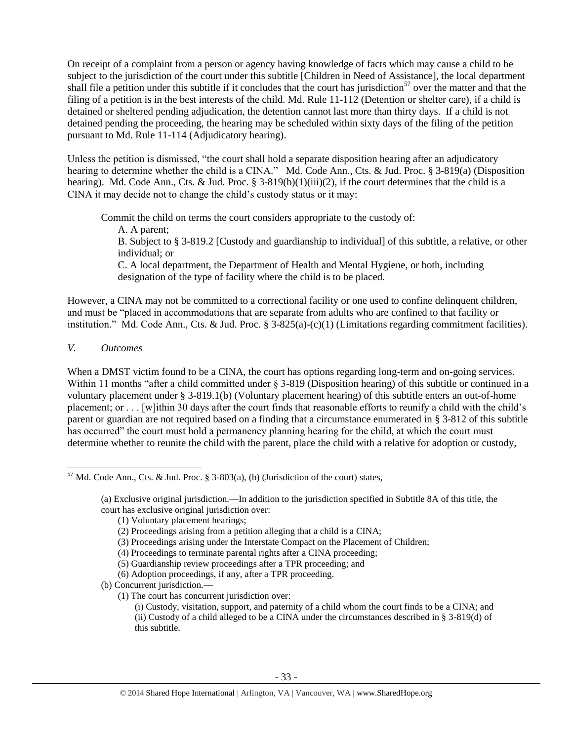On receipt of a complaint from a person or agency having knowledge of facts which may cause a child to be subject to the jurisdiction of the court under this subtitle [Children in Need of Assistance], the local department shall file a petition under this subtitle if it concludes that the court has jurisdiction<sup>57</sup> over the matter and that the filing of a petition is in the best interests of the child. Md. Rule 11-112 (Detention or shelter care), if a child is detained or sheltered pending adjudication, the detention cannot last more than thirty days. If a child is not detained pending the proceeding, the hearing may be scheduled within sixty days of the filing of the petition pursuant to Md. Rule 11-114 (Adjudicatory hearing).

Unless the petition is dismissed, "the court shall hold a separate disposition hearing after an adjudicatory hearing to determine whether the child is a CINA." Md. Code Ann., Cts. & Jud. Proc. § 3-819(a) (Disposition hearing). Md. Code Ann., Cts. & Jud. Proc. § 3-819(b)(1)(iii)(2), if the court determines that the child is a CINA it may decide not to change the child's custody status or it may:

Commit the child on terms the court considers appropriate to the custody of:

A. A parent;

B. Subject to § 3-819.2 [Custody and guardianship to individual] of this subtitle, a relative, or other individual; or

C. A local department, the Department of Health and Mental Hygiene, or both, including designation of the type of facility where the child is to be placed.

However, a CINA may not be committed to a correctional facility or one used to confine delinquent children, and must be "placed in accommodations that are separate from adults who are confined to that facility or institution." Md. Code Ann., Cts. & Jud. Proc. § 3-825(a)-(c)(1) (Limitations regarding commitment facilities).

# *V. Outcomes*

When a DMST victim found to be a CINA, the court has options regarding long-term and on-going services. Within 11 months "after a child committed under § 3-819 (Disposition hearing) of this subtitle or continued in a voluntary placement under § 3-819.1(b) (Voluntary placement hearing) of this subtitle enters an out-of-home placement; or . . . [w]ithin 30 days after the court finds that reasonable efforts to reunify a child with the child's parent or guardian are not required based on a finding that a circumstance enumerated in § 3-812 of this subtitle has occurred" the court must hold a permanency planning hearing for the child, at which the court must determine whether to reunite the child with the parent, place the child with a relative for adoption or custody,

(1) Voluntary placement hearings;

(1) The court has concurrent jurisdiction over:

 $\overline{\phantom{a}}$  $57$  Md. Code Ann., Cts. & Jud. Proc. § 3-803(a), (b) (Jurisdiction of the court) states,

<sup>(</sup>a) Exclusive original jurisdiction.—In addition to the jurisdiction specified in Subtitle 8A of this title, the court has exclusive original jurisdiction over:

<sup>(2)</sup> Proceedings arising from a petition alleging that a child is a CINA;

<sup>(3)</sup> Proceedings arising under the Interstate Compact on the Placement of Children;

<sup>(4)</sup> Proceedings to terminate parental rights after a CINA proceeding;

<sup>(5)</sup> Guardianship review proceedings after a TPR proceeding; and

<sup>(6)</sup> Adoption proceedings, if any, after a TPR proceeding.

<sup>(</sup>b) Concurrent jurisdiction.—

<sup>(</sup>i) Custody, visitation, support, and paternity of a child whom the court finds to be a CINA; and (ii) Custody of a child alleged to be a CINA under the circumstances described in § 3-819(d) of this subtitle.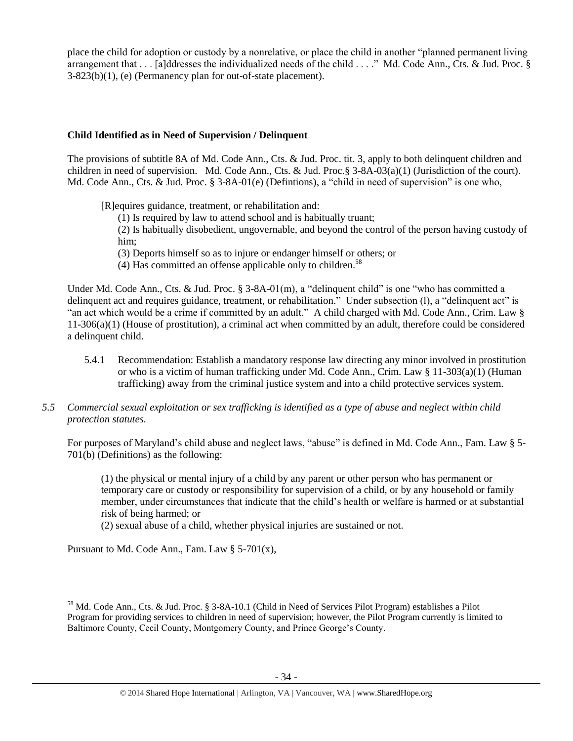place the child for adoption or custody by a nonrelative, or place the child in another "planned permanent living arrangement that . . . [a]ddresses the individualized needs of the child . . . ." Md. Code Ann., Cts. & Jud. Proc. § 3-823(b)(1), (e) (Permanency plan for out-of-state placement).

## **Child Identified as in Need of Supervision / Delinquent**

The provisions of subtitle 8A of Md. Code Ann., Cts. & Jud. Proc. tit. 3, apply to both delinquent children and children in need of supervision. Md. Code Ann., Cts. & Jud. Proc.§ 3-8A-03(a)(1) (Jurisdiction of the court). Md. Code Ann., Cts. & Jud. Proc. § 3-8A-01(e) (Defintions), a "child in need of supervision" is one who,

[R]equires guidance, treatment, or rehabilitation and:

(1) Is required by law to attend school and is habitually truant;

(2) Is habitually disobedient, ungovernable, and beyond the control of the person having custody of him;

- (3) Deports himself so as to injure or endanger himself or others; or
- (4) Has committed an offense applicable only to children.<sup>58</sup>

Under Md. Code Ann., Cts. & Jud. Proc. § 3-8A-01(m), a "delinquent child" is one "who has committed a delinquent act and requires guidance, treatment, or rehabilitation." Under subsection (l), a "delinquent act" is "an act which would be a crime if committed by an adult." A child charged with Md. Code Ann., Crim. Law § 11-306(a)(1) (House of prostitution), a criminal act when committed by an adult, therefore could be considered a delinquent child.

- 5.4.1 Recommendation: Establish a mandatory response law directing any minor involved in prostitution or who is a victim of human trafficking under Md. Code Ann., Crim. Law § 11-303(a)(1) (Human trafficking) away from the criminal justice system and into a child protective services system.
- *5.5 Commercial sexual exploitation or sex trafficking is identified as a type of abuse and neglect within child protection statutes.*

For purposes of Maryland's child abuse and neglect laws, "abuse" is defined in Md. Code Ann., Fam. Law § 5- 701(b) (Definitions) as the following:

(1) the physical or mental injury of a child by any parent or other person who has permanent or temporary care or custody or responsibility for supervision of a child, or by any household or family member, under circumstances that indicate that the child's health or welfare is harmed or at substantial risk of being harmed; or

(2) sexual abuse of a child, whether physical injuries are sustained or not.

Pursuant to Md. Code Ann., Fam. Law  $\S$  5-701(x),

 $\overline{\phantom{a}}$ 

<sup>&</sup>lt;sup>58</sup> Md. Code Ann., Cts. & Jud. Proc. § 3-8A-10.1 (Child in Need of Services Pilot Program) establishes a Pilot Program for providing services to children in need of supervision; however, the Pilot Program currently is limited to Baltimore County, Cecil County, Montgomery County, and Prince George's County.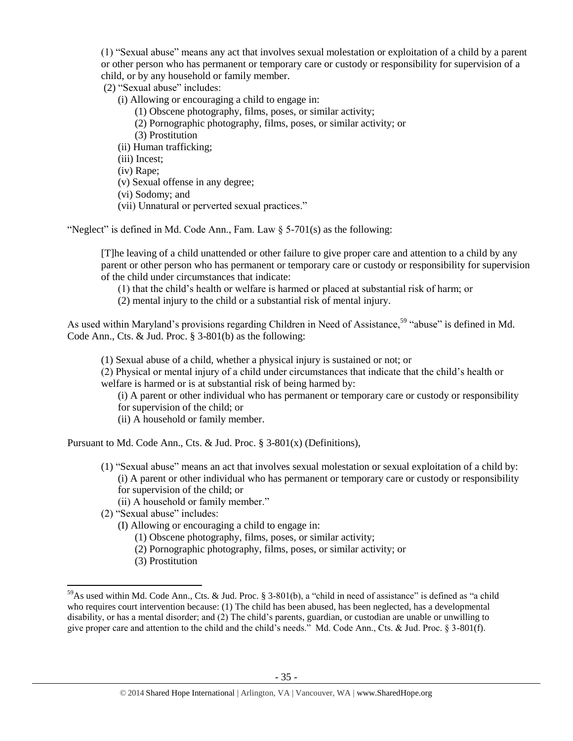(1) "Sexual abuse" means any act that involves sexual molestation or exploitation of a child by a parent or other person who has permanent or temporary care or custody or responsibility for supervision of a child, or by any household or family member.

(2) "Sexual abuse" includes:

(i) Allowing or encouraging a child to engage in:

- (1) Obscene photography, films, poses, or similar activity;
- (2) Pornographic photography, films, poses, or similar activity; or
- (3) Prostitution
- (ii) Human trafficking;
- (iii) Incest;
- (iv) Rape;
- (v) Sexual offense in any degree;
- (vi) Sodomy; and
- (vii) Unnatural or perverted sexual practices."

"Neglect" is defined in Md. Code Ann., Fam. Law  $\S$  5-701(s) as the following:

[T]he leaving of a child unattended or other failure to give proper care and attention to a child by any parent or other person who has permanent or temporary care or custody or responsibility for supervision of the child under circumstances that indicate:

(1) that the child's health or welfare is harmed or placed at substantial risk of harm; or

(2) mental injury to the child or a substantial risk of mental injury.

As used within Maryland's provisions regarding Children in Need of Assistance,<sup>59</sup> "abuse" is defined in Md. Code Ann., Cts. & Jud. Proc. § 3-801(b) as the following:

(1) Sexual abuse of a child, whether a physical injury is sustained or not; or

(2) Physical or mental injury of a child under circumstances that indicate that the child's health or welfare is harmed or is at substantial risk of being harmed by:

- (i) A parent or other individual who has permanent or temporary care or custody or responsibility for supervision of the child; or
- (ii) A household or family member.

Pursuant to Md. Code Ann., Cts. & Jud. Proc. § 3-801(x) (Definitions),

- (1) "Sexual abuse" means an act that involves sexual molestation or sexual exploitation of a child by: (i) A parent or other individual who has permanent or temporary care or custody or responsibility for supervision of the child; or
	- (ii) A household or family member."
- (2) "Sexual abuse" includes:
	- (I) Allowing or encouraging a child to engage in:
		- (1) Obscene photography, films, poses, or similar activity;
		- (2) Pornographic photography, films, poses, or similar activity; or
		- (3) Prostitution

 $\overline{a}$ 

<sup>59</sup>As used within Md. Code Ann., Cts. & Jud. Proc. § 3-801(b), a "child in need of assistance" is defined as "a child who requires court intervention because: (1) The child has been abused, has been neglected, has a developmental disability, or has a mental disorder; and (2) The child's parents, guardian, or custodian are unable or unwilling to give proper care and attention to the child and the child's needs." Md. Code Ann., Cts. & Jud. Proc. § 3-801(f).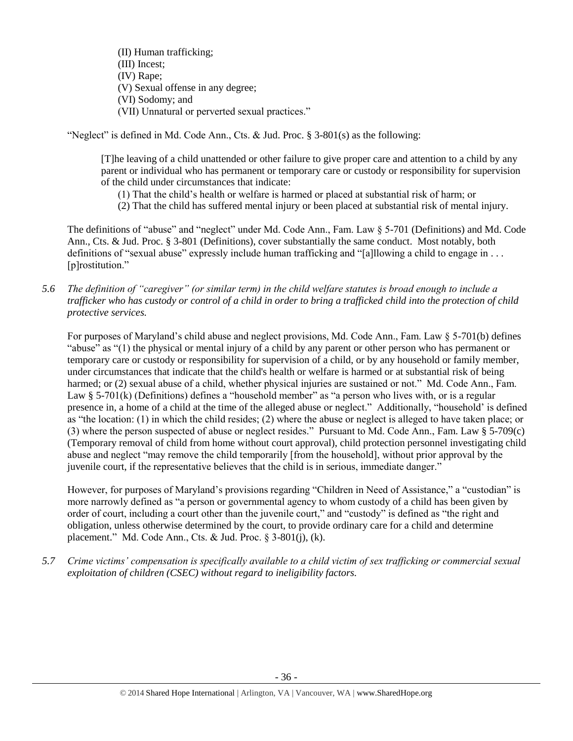(II) Human trafficking; (III) Incest; (IV) Rape; (V) Sexual offense in any degree; (VI) Sodomy; and (VII) Unnatural or perverted sexual practices."

"Neglect" is defined in Md. Code Ann., Cts. & Jud. Proc.  $\S$  3-801(s) as the following:

[T]he leaving of a child unattended or other failure to give proper care and attention to a child by any parent or individual who has permanent or temporary care or custody or responsibility for supervision of the child under circumstances that indicate:

- (1) That the child's health or welfare is harmed or placed at substantial risk of harm; or
- (2) That the child has suffered mental injury or been placed at substantial risk of mental injury.

The definitions of "abuse" and "neglect" under Md. Code Ann., Fam. Law § 5-701 (Definitions) and Md. Code Ann., Cts. & Jud. Proc. § 3-801 (Definitions), cover substantially the same conduct. Most notably, both definitions of "sexual abuse" expressly include human trafficking and "[a]llowing a child to engage in . . . [p]rostitution."

*5.6 The definition of "caregiver" (or similar term) in the child welfare statutes is broad enough to include a trafficker who has custody or control of a child in order to bring a trafficked child into the protection of child protective services.*

For purposes of Maryland's child abuse and neglect provisions, Md. Code Ann., Fam. Law § 5-701(b) defines "abuse" as "(1) the physical or mental injury of a child by any parent or other person who has permanent or temporary care or custody or responsibility for supervision of a child, or by any household or family member, under circumstances that indicate that the child's health or welfare is harmed or at substantial risk of being harmed; or (2) sexual abuse of a child, whether physical injuries are sustained or not." Md. Code Ann., Fam. Law § 5-701(k) (Definitions) defines a "household member" as "a person who lives with, or is a regular presence in, a home of a child at the time of the alleged abuse or neglect." Additionally, "household' is defined as "the location: (1) in which the child resides; (2) where the abuse or neglect is alleged to have taken place; or (3) where the person suspected of abuse or neglect resides." Pursuant to Md. Code Ann., Fam. Law § 5-709(c) (Temporary removal of child from home without court approval), child protection personnel investigating child abuse and neglect "may remove the child temporarily [from the household], without prior approval by the juvenile court, if the representative believes that the child is in serious, immediate danger."

However, for purposes of Maryland's provisions regarding "Children in Need of Assistance," a "custodian" is more narrowly defined as "a person or governmental agency to whom custody of a child has been given by order of court, including a court other than the juvenile court," and "custody" is defined as "the right and obligation, unless otherwise determined by the court, to provide ordinary care for a child and determine placement." Md. Code Ann., Cts. & Jud. Proc. § 3-801(j), (k).

*5.7 Crime victims' compensation is specifically available to a child victim of sex trafficking or commercial sexual exploitation of children (CSEC) without regard to ineligibility factors.*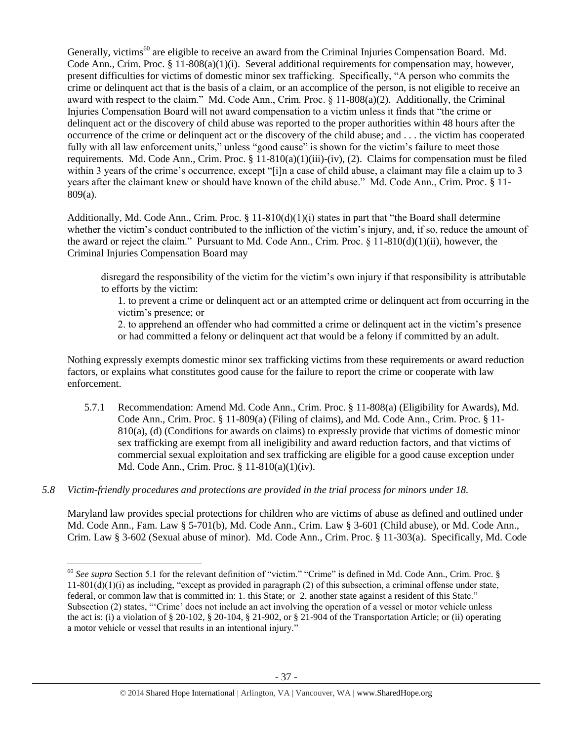Generally, victims<sup>60</sup> are eligible to receive an award from the Criminal Injuries Compensation Board. Md. Code Ann., Crim. Proc.  $\S 11-808(a)(1)(i)$ . Several additional requirements for compensation may, however, present difficulties for victims of domestic minor sex trafficking. Specifically, "A person who commits the crime or delinquent act that is the basis of a claim, or an accomplice of the person, is not eligible to receive an award with respect to the claim." Md. Code Ann., Crim. Proc. § 11-808(a)(2). Additionally, the Criminal Injuries Compensation Board will not award compensation to a victim unless it finds that "the crime or delinquent act or the discovery of child abuse was reported to the proper authorities within 48 hours after the occurrence of the crime or delinquent act or the discovery of the child abuse; and . . . the victim has cooperated fully with all law enforcement units," unless "good cause" is shown for the victim's failure to meet those requirements. Md. Code Ann., Crim. Proc.  $\S 11-810(a)(1)(iii)-(iv)$ , (2). Claims for compensation must be filed within 3 years of the crime's occurrence, except "[i]n a case of child abuse, a claimant may file a claim up to 3 years after the claimant knew or should have known of the child abuse." Md. Code Ann., Crim. Proc. § 11- 809(a).

Additionally, Md. Code Ann., Crim. Proc.  $\S 11-810(d)(1)(i)$  states in part that "the Board shall determine" whether the victim's conduct contributed to the infliction of the victim's injury, and, if so, reduce the amount of the award or reject the claim." Pursuant to Md. Code Ann., Crim. Proc. § 11-810(d)(1)(ii), however, the Criminal Injuries Compensation Board may

disregard the responsibility of the victim for the victim's own injury if that responsibility is attributable to efforts by the victim:

1. to prevent a crime or delinquent act or an attempted crime or delinquent act from occurring in the victim's presence; or

2. to apprehend an offender who had committed a crime or delinquent act in the victim's presence or had committed a felony or delinquent act that would be a felony if committed by an adult.

Nothing expressly exempts domestic minor sex trafficking victims from these requirements or award reduction factors, or explains what constitutes good cause for the failure to report the crime or cooperate with law enforcement.

- 5.7.1 Recommendation: Amend Md. Code Ann., Crim. Proc. § 11-808(a) (Eligibility for Awards), Md. Code Ann., Crim. Proc. § 11-809(a) (Filing of claims), and Md. Code Ann., Crim. Proc. § 11- 810(a), (d) (Conditions for awards on claims) to expressly provide that victims of domestic minor sex trafficking are exempt from all ineligibility and award reduction factors, and that victims of commercial sexual exploitation and sex trafficking are eligible for a good cause exception under Md. Code Ann., Crim. Proc. § 11-810(a)(1)(iv).
- *5.8 Victim-friendly procedures and protections are provided in the trial process for minors under 18.*

Maryland law provides special protections for children who are victims of abuse as defined and outlined under Md. Code Ann., Fam. Law § 5-701(b), Md. Code Ann., Crim. Law § 3-601 (Child abuse), or Md. Code Ann., Crim. Law § 3-602 (Sexual abuse of minor). Md. Code Ann., Crim. Proc. § 11-303(a). Specifically, Md. Code

 $\overline{\phantom{a}}$ <sup>60</sup> See supra Section 5.1 for the relevant definition of "victim." "Crime" is defined in Md. Code Ann., Crim. Proc. §  $11-801(d)(1)(i)$  as including, "except as provided in paragraph (2) of this subsection, a criminal offense under state, federal, or common law that is committed in: 1. this State; or 2. another state against a resident of this State." Subsection (2) states, "'Crime' does not include an act involving the operation of a vessel or motor vehicle unless the act is: (i) a violation of § 20-102, § 20-104, § 21-902, or § 21-904 of the Transportation Article; or (ii) operating a motor vehicle or vessel that results in an intentional injury."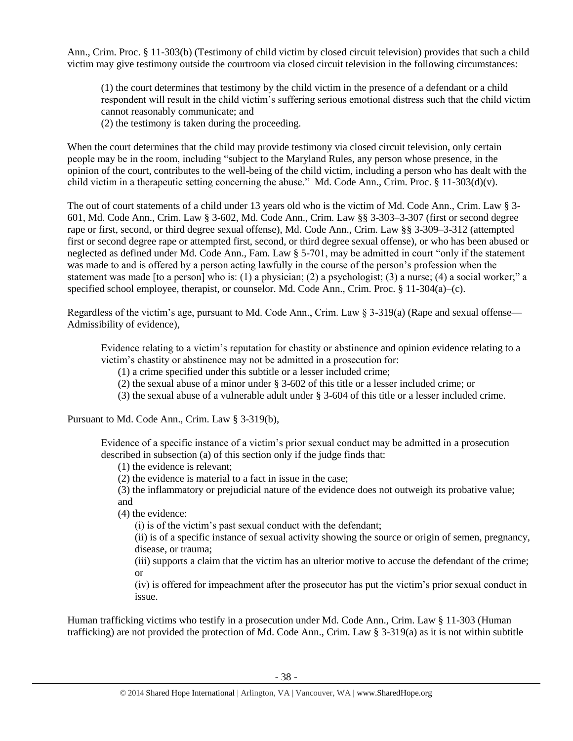Ann., Crim. Proc. § 11-303(b) (Testimony of child victim by closed circuit television) provides that such a child victim may give testimony outside the courtroom via closed circuit television in the following circumstances:

(1) the court determines that testimony by the child victim in the presence of a defendant or a child respondent will result in the child victim's suffering serious emotional distress such that the child victim cannot reasonably communicate; and

(2) the testimony is taken during the proceeding.

When the court determines that the child may provide testimony via closed circuit television, only certain people may be in the room, including "subject to the Maryland Rules, any person whose presence, in the opinion of the court, contributes to the well-being of the child victim, including a person who has dealt with the child victim in a therapeutic setting concerning the abuse." Md. Code Ann., Crim. Proc. § 11-303(d)(v).

The out of court statements of a child under 13 years old who is the victim of Md. Code Ann., Crim. Law § 3- 601, Md. Code Ann., Crim. Law § 3-602, Md. Code Ann., Crim. Law §§ 3-303–3-307 (first or second degree rape or first, second, or third degree sexual offense), Md. Code Ann., Crim. Law §§ 3-309–3-312 (attempted first or second degree rape or attempted first, second, or third degree sexual offense), or who has been abused or neglected as defined under Md. Code Ann., Fam. Law § 5-701, may be admitted in court "only if the statement was made to and is offered by a person acting lawfully in the course of the person's profession when the statement was made [to a person] who is: (1) a physician; (2) a psychologist; (3) a nurse; (4) a social worker;" a specified school employee, therapist, or counselor. Md. Code Ann., Crim. Proc. § 11-304(a)–(c).

Regardless of the victim's age, pursuant to Md. Code Ann., Crim. Law  $\S$  3-319(a) (Rape and sexual offense— Admissibility of evidence),

Evidence relating to a victim's reputation for chastity or abstinence and opinion evidence relating to a victim's chastity or abstinence may not be admitted in a prosecution for:

(1) a crime specified under this subtitle or a lesser included crime;

- (2) the sexual abuse of a minor under § 3-602 of this title or a lesser included crime; or
- (3) the sexual abuse of a vulnerable adult under § 3-604 of this title or a lesser included crime.

Pursuant to Md. Code Ann., Crim. Law § 3-319(b),

Evidence of a specific instance of a victim's prior sexual conduct may be admitted in a prosecution described in subsection (a) of this section only if the judge finds that:

- (1) the evidence is relevant;
- (2) the evidence is material to a fact in issue in the case;

(3) the inflammatory or prejudicial nature of the evidence does not outweigh its probative value; and

(4) the evidence:

(i) is of the victim's past sexual conduct with the defendant;

(ii) is of a specific instance of sexual activity showing the source or origin of semen, pregnancy, disease, or trauma;

(iii) supports a claim that the victim has an ulterior motive to accuse the defendant of the crime; or

(iv) is offered for impeachment after the prosecutor has put the victim's prior sexual conduct in issue.

Human trafficking victims who testify in a prosecution under Md. Code Ann., Crim. Law § 11-303 (Human trafficking) are not provided the protection of Md. Code Ann., Crim. Law § 3-319(a) as it is not within subtitle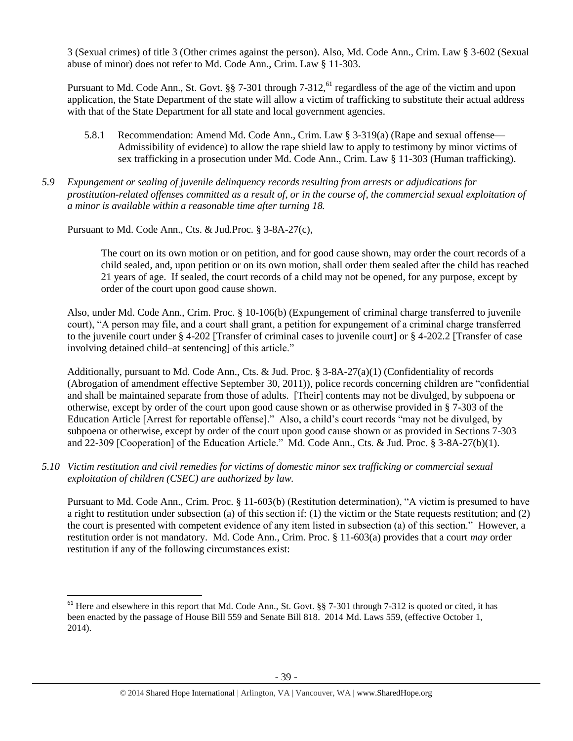3 (Sexual crimes) of title 3 (Other crimes against the person). Also, Md. Code Ann., Crim. Law § 3-602 (Sexual abuse of minor) does not refer to Md. Code Ann., Crim. Law § 11-303.

Pursuant to Md. Code Ann., St. Govt. §§ 7-301 through 7-312,<sup>61</sup> regardless of the age of the victim and upon application, the State Department of the state will allow a victim of trafficking to substitute their actual address with that of the State Department for all state and local government agencies.

- 5.8.1 Recommendation: Amend Md. Code Ann., Crim. Law § 3-319(a) (Rape and sexual offense— Admissibility of evidence) to allow the rape shield law to apply to testimony by minor victims of sex trafficking in a prosecution under Md. Code Ann., Crim. Law § 11-303 (Human trafficking).
- *5.9 Expungement or sealing of juvenile delinquency records resulting from arrests or adjudications for prostitution-related offenses committed as a result of, or in the course of, the commercial sexual exploitation of a minor is available within a reasonable time after turning 18.*

Pursuant to Md. Code Ann., Cts. & Jud.Proc. § 3-8A-27(c),

 $\overline{\phantom{a}}$ 

The court on its own motion or on petition, and for good cause shown, may order the court records of a child sealed, and, upon petition or on its own motion, shall order them sealed after the child has reached 21 years of age. If sealed, the court records of a child may not be opened, for any purpose, except by order of the court upon good cause shown.

Also, under Md. Code Ann., Crim. Proc. § 10-106(b) (Expungement of criminal charge transferred to juvenile court), "A person may file, and a court shall grant, a petition for expungement of a criminal charge transferred to the juvenile court under § 4-202 [Transfer of criminal cases to juvenile court] or § 4-202.2 [Transfer of case involving detained child–at sentencing] of this article."

Additionally, pursuant to Md. Code Ann., Cts. & Jud. Proc.  $\S$  3-8A-27(a)(1) (Confidentiality of records (Abrogation of amendment effective September 30, 2011)), police records concerning children are "confidential and shall be maintained separate from those of adults. [Their] contents may not be divulged, by subpoena or otherwise, except by order of the court upon good cause shown or as otherwise provided in § 7-303 of the Education Article [Arrest for reportable offense]." Also, a child's court records "may not be divulged, by subpoena or otherwise, except by order of the court upon good cause shown or as provided in Sections 7-303 and 22-309 [Cooperation] of the Education Article." Md. Code Ann., Cts. & Jud. Proc. § 3-8A-27(b)(1).

*5.10 Victim restitution and civil remedies for victims of domestic minor sex trafficking or commercial sexual exploitation of children (CSEC) are authorized by law.*

Pursuant to Md. Code Ann., Crim. Proc. § 11-603(b) (Restitution determination), "A victim is presumed to have a right to restitution under subsection (a) of this section if: (1) the victim or the State requests restitution; and (2) the court is presented with competent evidence of any item listed in subsection (a) of this section." However, a restitution order is not mandatory. Md. Code Ann., Crim. Proc. § 11-603(a) provides that a court *may* order restitution if any of the following circumstances exist:

 $61$  Here and elsewhere in this report that Md. Code Ann., St. Govt. §§ 7-301 through 7-312 is quoted or cited, it has been enacted by the passage of House Bill 559 and Senate Bill 818. 2014 Md. Laws 559, (effective October 1, 2014).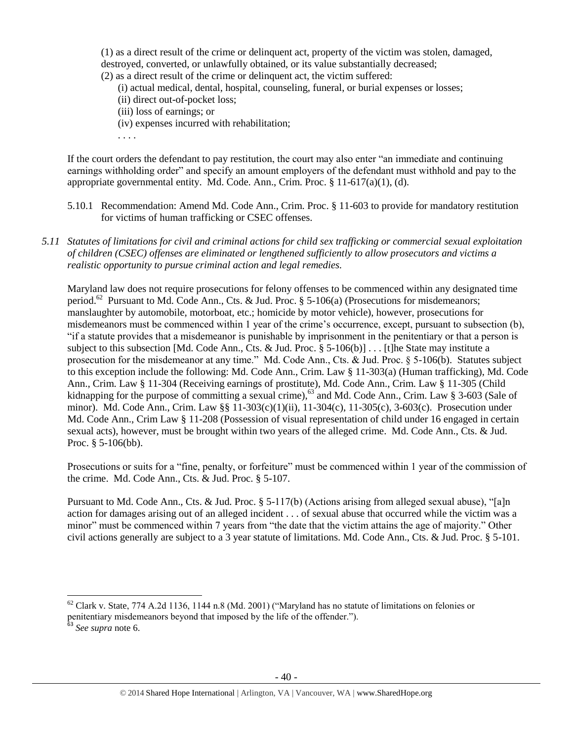(1) as a direct result of the crime or delinquent act, property of the victim was stolen, damaged, destroyed, converted, or unlawfully obtained, or its value substantially decreased; (2) as a direct result of the crime or delinquent act, the victim suffered:

- (i) actual medical, dental, hospital, counseling, funeral, or burial expenses or losses;
- (ii) direct out-of-pocket loss;
- (iii) loss of earnings; or
- (iv) expenses incurred with rehabilitation;
- . . . .

If the court orders the defendant to pay restitution, the court may also enter "an immediate and continuing earnings withholding order" and specify an amount employers of the defendant must withhold and pay to the appropriate governmental entity. Md. Code. Ann., Crim. Proc. § 11-617(a)(1), (d).

- 5.10.1 Recommendation: Amend Md. Code Ann., Crim. Proc. § 11-603 to provide for mandatory restitution for victims of human trafficking or CSEC offenses.
- *5.11 Statutes of limitations for civil and criminal actions for child sex trafficking or commercial sexual exploitation of children (CSEC) offenses are eliminated or lengthened sufficiently to allow prosecutors and victims a realistic opportunity to pursue criminal action and legal remedies.*

Maryland law does not require prosecutions for felony offenses to be commenced within any designated time period.<sup>62</sup> Pursuant to Md. Code Ann., Cts. & Jud. Proc. § 5-106(a) (Prosecutions for misdemeanors; manslaughter by automobile, motorboat, etc.; homicide by motor vehicle), however, prosecutions for misdemeanors must be commenced within 1 year of the crime's occurrence, except, pursuant to subsection (b), "if a statute provides that a misdemeanor is punishable by imprisonment in the penitentiary or that a person is subject to this subsection [Md. Code Ann., Cts. & Jud. Proc. § 5-106(b)] . . . [t]he State may institute a prosecution for the misdemeanor at any time." Md. Code Ann., Cts. & Jud. Proc. § 5-106(b). Statutes subject to this exception include the following: Md. Code Ann., Crim. Law § 11-303(a) (Human trafficking), Md. Code Ann., Crim. Law § 11-304 (Receiving earnings of prostitute), Md. Code Ann., Crim. Law § 11-305 (Child kidnapping for the purpose of committing a sexual crime),<sup>63</sup> and Md. Code Ann., Crim. Law § 3-603 (Sale of minor). Md. Code Ann., Crim. Law §§ 11-303(c)(1)(ii), 11-304(c), 11-305(c), 3-603(c). Prosecution under Md. Code Ann., Crim Law § 11-208 (Possession of visual representation of child under 16 engaged in certain sexual acts), however, must be brought within two years of the alleged crime. Md. Code Ann., Cts. & Jud. Proc. § 5-106(bb).

Prosecutions or suits for a "fine, penalty, or forfeiture" must be commenced within 1 year of the commission of the crime. Md. Code Ann., Cts. & Jud. Proc. § 5-107.

Pursuant to Md. Code Ann., Cts. & Jud. Proc. § 5-117(b) (Actions arising from alleged sexual abuse), "[a]n action for damages arising out of an alleged incident . . . of sexual abuse that occurred while the victim was a minor" must be commenced within 7 years from "the date that the victim attains the age of majority." Other civil actions generally are subject to a 3 year statute of limitations. Md. Code Ann., Cts. & Jud. Proc. § 5-101.

 $\overline{\phantom{a}}$ 

 $62$  Clark v. State, 774 A.2d 1136, 1144 n.8 (Md. 2001) ("Maryland has no statute of limitations on felonies or penitentiary misdemeanors beyond that imposed by the life of the offender.").

<sup>63</sup> *See supra* note [6.](#page-1-1)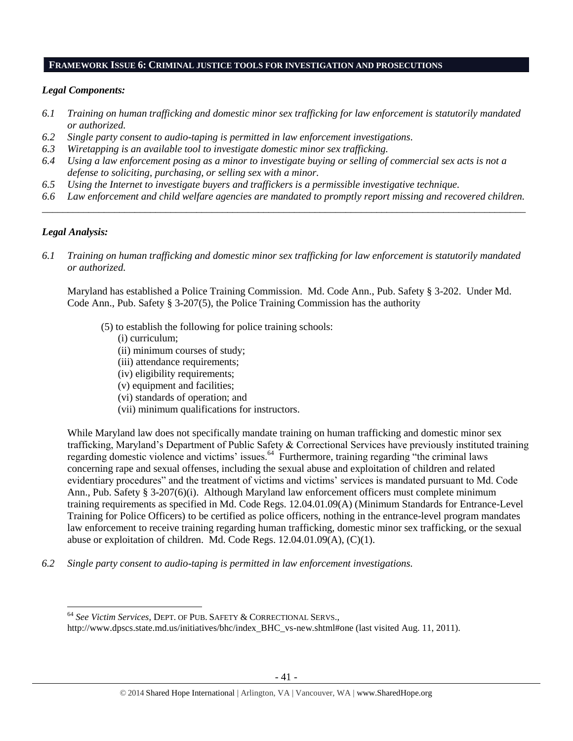#### **FRAMEWORK ISSUE 6: CRIMINAL JUSTICE TOOLS FOR INVESTIGATION AND PROSECUTIONS**

## *Legal Components:*

- *6.1 Training on human trafficking and domestic minor sex trafficking for law enforcement is statutorily mandated or authorized.*
- *6.2 Single party consent to audio-taping is permitted in law enforcement investigations.*
- *6.3 Wiretapping is an available tool to investigate domestic minor sex trafficking.*
- *6.4 Using a law enforcement posing as a minor to investigate buying or selling of commercial sex acts is not a defense to soliciting, purchasing, or selling sex with a minor.*
- *6.5 Using the Internet to investigate buyers and traffickers is a permissible investigative technique.*
- *6.6 Law enforcement and child welfare agencies are mandated to promptly report missing and recovered children. \_\_\_\_\_\_\_\_\_\_\_\_\_\_\_\_\_\_\_\_\_\_\_\_\_\_\_\_\_\_\_\_\_\_\_\_\_\_\_\_\_\_\_\_\_\_\_\_\_\_\_\_\_\_\_\_\_\_\_\_\_\_\_\_\_\_\_\_\_\_\_\_\_\_\_\_\_\_\_\_\_\_\_\_\_\_\_\_\_\_\_\_\_\_*

# *Legal Analysis:*

l

*6.1 Training on human trafficking and domestic minor sex trafficking for law enforcement is statutorily mandated or authorized.*

Maryland has established a Police Training Commission. Md. Code Ann., Pub. Safety § 3-202. Under Md. Code Ann., Pub. Safety § 3-207(5), the Police Training Commission has the authority

- (5) to establish the following for police training schools:
	- (i) curriculum;
	- (ii) minimum courses of study;
	- (iii) attendance requirements;
	- (iv) eligibility requirements;
	- (v) equipment and facilities;
	- (vi) standards of operation; and
	- (vii) minimum qualifications for instructors.

While Maryland law does not specifically mandate training on human trafficking and domestic minor sex trafficking, Maryland's Department of Public Safety & Correctional Services have previously instituted training regarding domestic violence and victims' issues.<sup>64</sup> Furthermore, training regarding "the criminal laws concerning rape and sexual offenses, including the sexual abuse and exploitation of children and related evidentiary procedures" and the treatment of victims and victims' services is mandated pursuant to Md. Code Ann., Pub. Safety § 3-207(6)(i). Although Maryland law enforcement officers must complete minimum training requirements as specified in Md. Code Regs. 12.04.01.09(A) (Minimum Standards for Entrance-Level Training for Police Officers) to be certified as police officers, nothing in the entrance-level program mandates law enforcement to receive training regarding human trafficking, domestic minor sex trafficking, or the sexual abuse or exploitation of children. Md. Code Regs. 12.04.01.09(A), (C)(1).

*6.2 Single party consent to audio-taping is permitted in law enforcement investigations.*

<sup>64</sup> *See Victim Services*, DEPT. OF PUB. SAFETY & CORRECTIONAL SERVS.,

http://www.dpscs.state.md.us/initiatives/bhc/index\_BHC\_vs-new.shtml#one (last visited Aug. 11, 2011).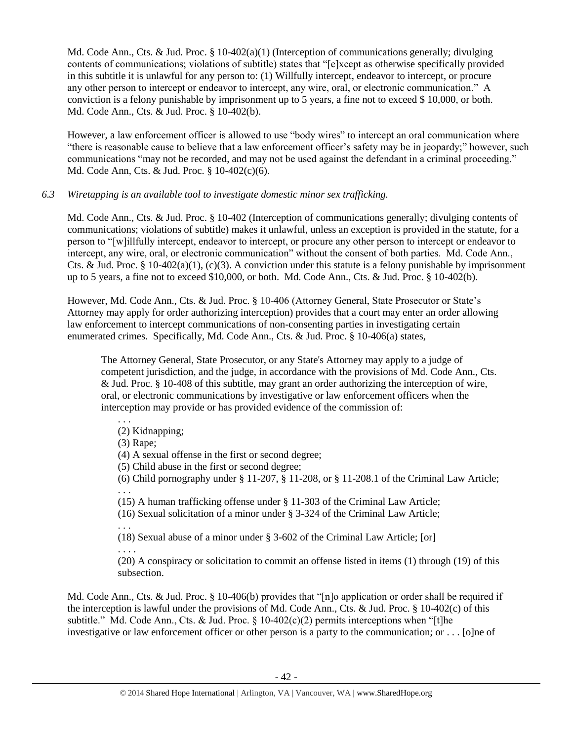Md. Code Ann., Cts. & Jud. Proc. § 10-402(a)(1) (Interception of communications generally; divulging contents of communications; violations of subtitle) states that "[e]xcept as otherwise specifically provided in this subtitle it is unlawful for any person to: (1) Willfully intercept, endeavor to intercept, or procure any other person to intercept or endeavor to intercept, any wire, oral, or electronic communication." A conviction is a felony punishable by imprisonment up to 5 years, a fine not to exceed \$ 10,000, or both. Md. Code Ann., Cts. & Jud. Proc. § 10-402(b).

However, a law enforcement officer is allowed to use "body wires" to intercept an oral communication where "there is reasonable cause to believe that a law enforcement officer's safety may be in jeopardy;" however, such communications "may not be recorded, and may not be used against the defendant in a criminal proceeding." Md. Code Ann, Cts. & Jud. Proc. § 10-402(c)(6).

# *6.3 Wiretapping is an available tool to investigate domestic minor sex trafficking.*

Md. Code Ann., Cts. & Jud. Proc. § 10-402 (Interception of communications generally; divulging contents of communications; violations of subtitle) makes it unlawful, unless an exception is provided in the statute, for a person to "[w]illfully intercept, endeavor to intercept, or procure any other person to intercept or endeavor to intercept, any wire, oral, or electronic communication" without the consent of both parties. Md. Code Ann., Cts. & Jud. Proc. § 10-402(a)(1), (c)(3). A conviction under this statute is a felony punishable by imprisonment up to 5 years, a fine not to exceed \$10,000, or both. Md. Code Ann., Cts. & Jud. Proc. § 10-402(b).

However, Md. Code Ann., Cts. & Jud. Proc. § 10-406 (Attorney General, State Prosecutor or State's Attorney may apply for order authorizing interception) provides that a court may enter an order allowing law enforcement to intercept communications of non-consenting parties in investigating certain enumerated crimes. Specifically, Md. Code Ann., Cts. & Jud. Proc. § 10-406(a) states,

The Attorney General, State Prosecutor, or any State's Attorney may apply to a judge of competent jurisdiction, and the judge, in accordance with the provisions of Md. Code Ann., Cts. & Jud. Proc. § 10-408 of this subtitle, may grant an order authorizing the interception of wire, oral, or electronic communications by investigative or law enforcement officers when the interception may provide or has provided evidence of the commission of:

. . . (2) Kidnapping;

(3) Rape;

(4) A sexual offense in the first or second degree;

(5) Child abuse in the first or second degree;

(6) Child pornography under § 11-207, § 11-208, or § 11-208.1 of the Criminal Law Article;

(15) A human trafficking offense under § 11-303 of the Criminal Law Article;

(16) Sexual solicitation of a minor under § 3-324 of the Criminal Law Article;

. . .

. . .

(18) Sexual abuse of a minor under § 3-602 of the Criminal Law Article; [or] . . . .

(20) A conspiracy or solicitation to commit an offense listed in items (1) through (19) of this subsection.

Md. Code Ann., Cts. & Jud. Proc. § 10-406(b) provides that "[n]o application or order shall be required if the interception is lawful under the provisions of Md. Code Ann., Cts. & Jud. Proc. § 10-402(c) of this subtitle." Md. Code Ann., Cts. & Jud. Proc.  $\S$  10-402(c)(2) permits interceptions when "[t]he investigative or law enforcement officer or other person is a party to the communication; or . . . [o]ne of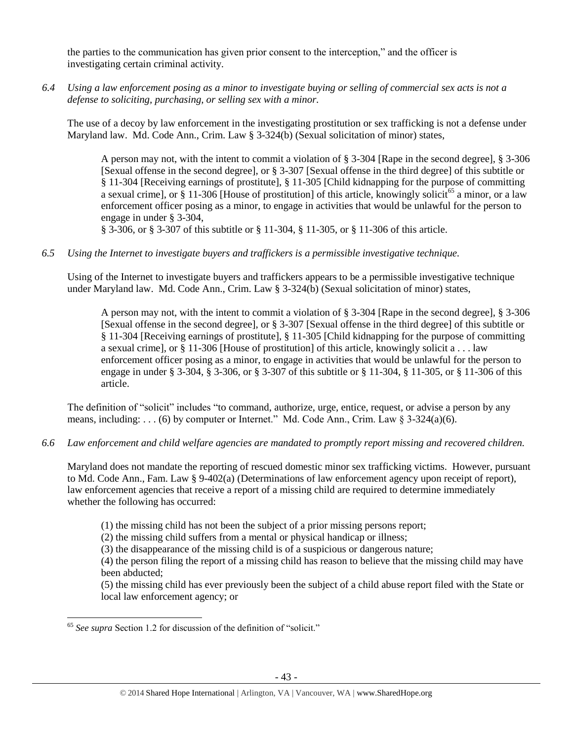the parties to the communication has given prior consent to the interception," and the officer is investigating certain criminal activity.

*6.4 Using a law enforcement posing as a minor to investigate buying or selling of commercial sex acts is not a defense to soliciting, purchasing, or selling sex with a minor.*

The use of a decoy by law enforcement in the investigating prostitution or sex trafficking is not a defense under Maryland law. Md. Code Ann., Crim. Law § 3-324(b) (Sexual solicitation of minor) states,

A person may not, with the intent to commit a violation of § 3-304 [Rape in the second degree], § 3-306 [Sexual offense in the second degree], or § 3-307 [Sexual offense in the third degree] of this subtitle or § 11-304 [Receiving earnings of prostitute], § 11-305 [Child kidnapping for the purpose of committing a sexual crime], or § 11-306 [House of prostitution] of this article, knowingly solicit<sup>65</sup> a minor, or a law enforcement officer posing as a minor, to engage in activities that would be unlawful for the person to engage in under § 3-304,

§ 3-306, or § 3-307 of this subtitle or § 11-304, § 11-305, or § 11-306 of this article.

*6.5 Using the Internet to investigate buyers and traffickers is a permissible investigative technique.*

Using of the Internet to investigate buyers and traffickers appears to be a permissible investigative technique under Maryland law. Md. Code Ann., Crim. Law § 3-324(b) (Sexual solicitation of minor) states,

A person may not, with the intent to commit a violation of § 3-304 [Rape in the second degree], § 3-306 [Sexual offense in the second degree], or § 3-307 [Sexual offense in the third degree] of this subtitle or § 11-304 [Receiving earnings of prostitute], § 11-305 [Child kidnapping for the purpose of committing a sexual crime], or § 11-306 [House of prostitution] of this article, knowingly solicit a . . . law enforcement officer posing as a minor, to engage in activities that would be unlawful for the person to engage in under § 3-304, § 3-306, or § 3-307 of this subtitle or § 11-304, § 11-305, or § 11-306 of this article.

The definition of "solicit" includes "to command, authorize, urge, entice, request, or advise a person by any means, including: . . . (6) by computer or Internet." Md. Code Ann., Crim. Law  $\S 3-324(a)(6)$ .

*6.6 Law enforcement and child welfare agencies are mandated to promptly report missing and recovered children.*

Maryland does not mandate the reporting of rescued domestic minor sex trafficking victims. However, pursuant to Md. Code Ann., Fam. Law § 9-402(a) (Determinations of law enforcement agency upon receipt of report), law enforcement agencies that receive a report of a missing child are required to determine immediately whether the following has occurred:

(1) the missing child has not been the subject of a prior missing persons report;

(2) the missing child suffers from a mental or physical handicap or illness;

(3) the disappearance of the missing child is of a suspicious or dangerous nature;

(4) the person filing the report of a missing child has reason to believe that the missing child may have been abducted;

(5) the missing child has ever previously been the subject of a child abuse report filed with the State or local law enforcement agency; or

 $\overline{a}$ <sup>65</sup> *See supra* Section 1.2 for discussion of the definition of "solicit."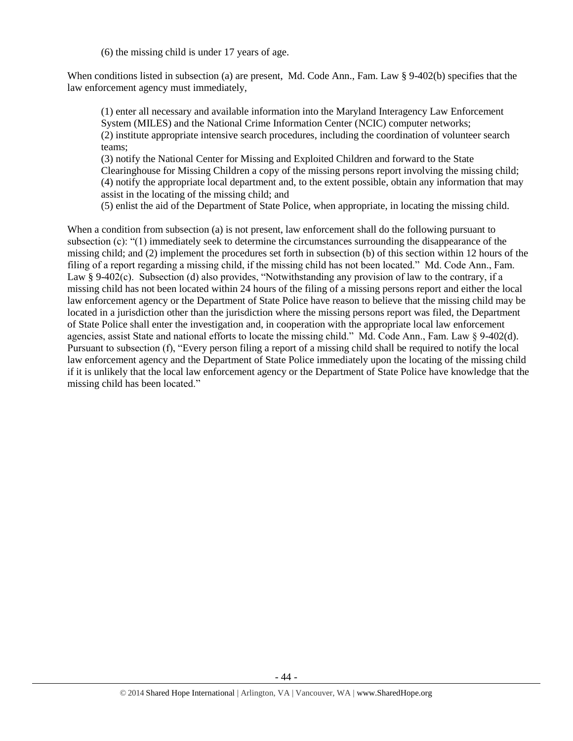(6) the missing child is under 17 years of age.

When conditions listed in subsection (a) are present, Md. Code Ann., Fam. Law § 9-402(b) specifies that the law enforcement agency must immediately,

(1) enter all necessary and available information into the Maryland Interagency Law Enforcement System (MILES) and the National Crime Information Center (NCIC) computer networks; (2) institute appropriate intensive search procedures, including the coordination of volunteer search teams;

(3) notify the National Center for Missing and Exploited Children and forward to the State Clearinghouse for Missing Children a copy of the missing persons report involving the missing child; (4) notify the appropriate local department and, to the extent possible, obtain any information that may assist in the locating of the missing child; and

(5) enlist the aid of the Department of State Police, when appropriate, in locating the missing child.

When a condition from subsection (a) is not present, law enforcement shall do the following pursuant to subsection (c): "(1) immediately seek to determine the circumstances surrounding the disappearance of the missing child; and (2) implement the procedures set forth in subsection (b) of this section within 12 hours of the filing of a report regarding a missing child, if the missing child has not been located." Md. Code Ann., Fam. Law § 9-402(c). Subsection (d) also provides, "Notwithstanding any provision of law to the contrary, if a missing child has not been located within 24 hours of the filing of a missing persons report and either the local law enforcement agency or the Department of State Police have reason to believe that the missing child may be located in a jurisdiction other than the jurisdiction where the missing persons report was filed, the Department of State Police shall enter the investigation and, in cooperation with the appropriate local law enforcement agencies, assist State and national efforts to locate the missing child." Md. Code Ann., Fam. Law § 9-402(d). Pursuant to subsection (f), "Every person filing a report of a missing child shall be required to notify the local law enforcement agency and the Department of State Police immediately upon the locating of the missing child if it is unlikely that the local law enforcement agency or the Department of State Police have knowledge that the missing child has been located."